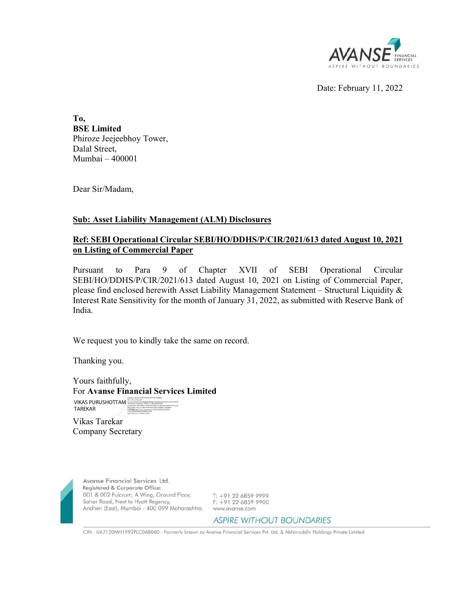

Date: February 11, 2022

**To, BSE Limited**  Phiroze Jeejeebhoy Tower, Dalal Street, Mumbai – 400001

Dear Sir/Madam,

## **Sub: Asset Liability Management (ALM) Disclosures**

# **Ref: SEBI Operational Circular SEBI/HO/DDHS/P/CIR/2021/613 dated August 10, 2021 on Listing of Commercial Paper**

Pursuant to Para 9 of Chapter XVII of SEBI Operational Circular SEBI/HO/DDHS/P/CIR/2021/613 dated August 10, 2021 on Listing of Commercial Paper, please find enclosed herewith Asset Liability Management Statement – Structural Liquidity & Interest Rate Sensitivity for the month of January 31, 2022, as submitted with Reserve Bank of India.

We request you to kindly take the same on record.

Thanking you.

Yours faithfully, For **Avanse Financial Services Limited** VIKAS PURUSHOTTAM

Vikas Tarekar TAREKAR 935a24086cc7fd, cn=VIKAS PURUSHOTTAM TAREKAR, l=MUMBAI SUBURBAN, title=3743, pseudonym=374320200926160929035, email=VIKASTAREKAR@GMAIL.COM Date: 2022.02.11 10:39:44 +05'30'

Company Secretary



Avanse Financial Services Ltd. Registered & Corporate Office: 001 & 002 Fulcrum, A Wing, Ground Floor, 

T: +91 22 6859 9999<br>F: +91 22 6859 9900

### **ASPIRE WITHOUT BOUNDARIES**

CIN : U67120MH1992PLC068060 - Formerly known as Avanse Financial Services Pvt. Ltd. & Abhivruddhi Holdings Private Limited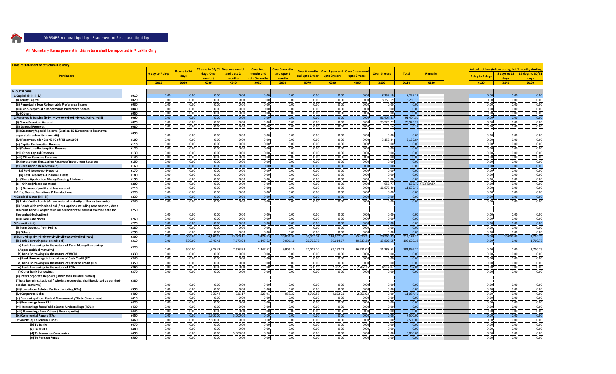

### **All Monetary Items present in this return shall be reported in ₹ Lakhs Only**

**DNBS4BStructuralliquidity in Structural Liquidity in Structural Liquidity of Structural Liquidity in Structural Liquidity in Structural Liquidity in Structural Liquidity in Structural Liquidity in Structural Liquidity in** 

| Table 2: Statement of Structural Liquidity                                                           |                     |                 |              |                       |                       |                              |                       |                       |                 |                         |                     |              |                  |                 |                           |                                                            |
|------------------------------------------------------------------------------------------------------|---------------------|-----------------|--------------|-----------------------|-----------------------|------------------------------|-----------------------|-----------------------|-----------------|-------------------------|---------------------|--------------|------------------|-----------------|---------------------------|------------------------------------------------------------|
|                                                                                                      |                     |                 | 8 days to 14 | $5$ days to 30/31     | Over one month        | Over two                     | <b>Over 3 months</b>  | Over 6 month:         | Over 1 year and | <b>Over 3 years and</b> |                     |              |                  |                 |                           | <b>Actual outflow/inflow during last 1 month, starting</b> |
| <b>Particulars</b>                                                                                   |                     | 0 day to 7 days | days         | days (One             | and upto 2            | months and                   | and upto 6            | <b>nd upto 1 year</b> | upto 3 years    | upto 5 years            | <b>Over 5 years</b> | <b>Total</b> | Remarks          | 0 day to 7 days | 8 days to 14              | 15 days to 30/31                                           |
|                                                                                                      |                     | <b>X010</b>     | <b>X020</b>  | month)<br><b>X030</b> | months<br><b>X040</b> | upto 3 months<br><b>X050</b> | months<br><b>X060</b> | <b>X070</b>           | <b>X080</b>     | <b>X090</b>             | <b>X100</b>         | <b>X110</b>  | <b>X120</b>      | <b>X130</b>     | days<br><b>X140</b>       | days<br>X150                                               |
|                                                                                                      |                     |                 |              |                       |                       |                              |                       |                       |                 |                         |                     |              |                  |                 |                           |                                                            |
| . OUTFLOWS                                                                                           |                     |                 |              |                       |                       |                              |                       |                       |                 |                         |                     |              |                  |                 |                           |                                                            |
| 1.Capital (i+ii+iii+iv)                                                                              | <b>Y010</b>         | 0.00            | 0.00         | 0.00                  | 0.00                  | 0.00                         | 0.00                  | 0.00                  | 0.00            | 0.00                    | 8,259.19            | 8,259.1      |                  | 0.00            | 0.00                      | 0.00                                                       |
| (i) Equity Capital                                                                                   | <b>Y020</b>         | 0.00            | 0.00         | 0.00                  | 0.00                  | 0.00                         | 0.00                  | 0.00                  | 0.00            | 0.00                    | 8,259.19            | 8,259.1      |                  | 0.00            | 0.00                      | 0.00                                                       |
| (ii) Perpetual / Non Redeemable Preference Shares                                                    | <b>Y030</b>         | 0.00            | 0.00         | 0.00                  | 0.00                  | 0.00                         | 0.00                  | 0.00                  | 0.00            | 0.00                    | 0.00                | 0.00         |                  | 0.00            | 0.00                      | 0.00                                                       |
| (iii)) Non-Perpetual / Redeemable Preference Shares                                                  | Y040                | 0.00            | 0.00         | 0.00                  | 0.00                  | 0.00                         | 0.00                  | 0.00                  | 0.00            | 0.00                    | 0.00                | 0.00         |                  | 0.00            | 0.00                      | 0.00                                                       |
| (iv) Others                                                                                          | <b>Y050</b>         | 0.00            | 0.00         | 0.00                  | 0.00                  | 0.00                         | 0.00                  | 0.00                  | 0.00            | 0.00                    | 0.00                | 0.00         |                  | 0.00            | 0.00                      | 0.00                                                       |
|                                                                                                      | <b>Y060</b>         | 0.00            | 0.00         | 0.00                  | 0.00                  | 0.00                         | 0.00                  | 0.00                  | 0.00            | 0.00                    | 91,404.51           | 91,404.51    |                  | 0.00            | 0.00                      | 0.00                                                       |
| (i) Share Premium Account                                                                            | <b>Y070</b>         | 0.00            | 0.00         | 0.00                  | 0.00                  | 0.00                         | 0.00                  | 0.00                  | 0.00            | 0.00                    | 75.923.27           | 75.923.2     |                  | 0.00            | 0.00                      | 0.00                                                       |
| (ii) General Reserves                                                                                | <b>Y080</b>         | 0.00            | 0.00         | 0.00                  | 0.00                  | 0.00                         | 0.00                  | 0.00                  | 0.00            | 0.00                    | 0.14                | 0.14         |                  | 0.00            | 0.00                      | 0.00                                                       |
| (iii) Statutory/Special Reserve (Section 45-IC reserve to be shown                                   | Y090                |                 |              |                       |                       |                              |                       |                       |                 |                         |                     |              |                  |                 |                           |                                                            |
| separately below item no.(vii))                                                                      |                     | 0.00            | 0.00         | 0.00                  | 0.00                  | 0.00                         | 0.00                  | 0.00                  | 0.00            | 0.00                    | 0.00                | 0.00         |                  |                 | 0.00<br>0.00              | 0.00                                                       |
| (iv) Reserves under Sec 45-IC of RBI Act 1934                                                        | Y100                | 0.00            | 0.00         | 0.00                  | 0.00                  | 0.00                         | 0.00                  | 0.00                  | 0.00            | 0.00                    | 3,152.84            | 3,152.84     |                  | 0.00            | 0.00                      | 0.00<br>0.00                                               |
| (v) Capital Redemption Reserve                                                                       | Y110                | 0.00<br>0.00    | 0.00<br>0.00 | 0.00<br>0.00          | 0.00<br>0.00          | 0.00<br>0.00                 | 0.00<br>0.00          | 0.00<br>0.00          | 0.00<br>0.00    | 0.00<br>0.00            | 0.00<br>0.00        | 0.00<br>0.00 |                  | 0.00<br>0.00    | 0.00<br>0.00              | 0.00                                                       |
| (vi) Debenture Redemption Reserve<br>(vii) Other Capital Reserves                                    | Y120<br>Y130        | 0.00            | 0.00         | 0.00                  | 0.00                  | 0.00                         | 0.00                  | 0.00                  | 0.00            | 0.00                    | 0.00                | 0.00         |                  | 0.00            | 0.00                      | 0.00                                                       |
| (viii) Other Revenue Reserves                                                                        | Y140                | 0.00            | 0.00         | 0.00                  | 0.00                  | 0.00                         | 0.00                  | 0.00                  | 0.00            | 0.00                    | 0.00                | 0.00         |                  | 0.00            | 0.00                      | 0.00                                                       |
| (ix) Investment Fluctuation Reserves/ Investment Reserves                                            | Y150                | 0.00            | 0.00         | 0.00                  | 0.00                  | 0.00                         | 0.00                  | 0.00                  | 0.00            | 0.00                    | 0.00                | 0.00         |                  | 0.00            | 0.00                      | 0.00                                                       |
| (x) Revaluation Reserves (a+b)                                                                       | Y160                | 0.00            | 0.00         | 0.00                  | 0.00                  | 0.00                         | 0.00                  | 0.00                  | 0.00            | 0.00                    | 0.00                | 0.00         |                  | 0.00            | 0.00                      | 0.00                                                       |
| (a) Revl. Reserves - Property                                                                        | <b>Y170</b>         | 0.00            | 0.00         | 0.00                  | 0.00                  | 0.00                         | 0.00                  | 0.00                  | 0.00            | 0.00                    | 0.00                | 0.00         |                  | 0.00            | 0.00                      | 0.00                                                       |
| (b) Revl. Reserves - Financial Assets                                                                | Y180                | 0.00            | 0.00         | 0.00                  | 0.00                  | 0.00                         | 0.00                  | 0.00                  | 0.00            | 0.00                    | 0.00                | 0.00         |                  | 0.00            | 0.00                      | 0.00                                                       |
| (xi) Share Application Money Pending Allotment                                                       | Y190                | 0.00            | 0.00         | 0.00                  | 0.00                  | 0.00                         | 0.00                  | 0.00                  | 0.00            | 0.00                    | 0.00                | 0.00         |                  | 0.00            | 0.00                      | 0.00                                                       |
| (xii) Others (Please mention)                                                                        | <b>Y200</b>         | 0.00            | 0.00         | 0.00                  | 0.00                  | 0.00                         | 0.00                  | 0.00                  | 0.00            | 0.00                    | 655.77              |              | 655.77 #TEXTDATA | 0.00            | 0.00                      | 0.00                                                       |
| (xiii) Balance of profit and loss account                                                            | Y210                | 0.00            | 0.00         | 0.00                  | 0.00                  | 0.00                         | 0.00                  | 0.00                  | 0.00            | 0.00                    | 11,672.49           | 11,672.4     |                  | 0.00            | 0.00                      | 0.00                                                       |
| 3.Gifts, Grants, Donations & Benefactions                                                            | <b>Y220</b>         | 0.00            | 0.00         | 0.00                  | 0.00                  | 0.00                         | 0.00                  | 0.00                  | 0.00            | 0.00                    | 0.00                | 0.00         |                  | 0.00            | 0.00                      | 0.00                                                       |
| 4.Bonds & Notes (i+ii+iii)                                                                           | Y230                | 0.00            | 0.00         | 0.00                  | 0.00                  | 0.00                         | 0.00                  | 0.00                  | 0.00            | 0.00                    | 0.00                | 0.00         |                  | 0.00            | 0.00                      | 0.00                                                       |
| (i) Plain Vanilla Bonds (As per residual maturity of the instruments)                                | Y240                | 0.00            | 0.00         | 0.00                  | 0.00                  | 0.00                         | 0.00                  | 0.00                  | 0.00            | 0.00                    | 0.00                | 0.00         |                  | 0.00            | 0.00                      | 0.00                                                       |
| (ii) Bonds with embedded call / put options including zero coupon / deep                             |                     |                 |              |                       |                       |                              |                       |                       |                 |                         |                     |              |                  |                 |                           |                                                            |
| discount bonds (As per residual period for the earliest exercise date for                            | <b>Y250</b>         |                 |              |                       |                       |                              |                       |                       |                 |                         |                     |              |                  |                 |                           |                                                            |
| the embedded option)                                                                                 |                     | 0.00<br>0.00    | 0.00<br>0.00 | 0.00<br>0.00          | 0.00<br>0.00          | 0.00<br>0.00                 | 0.00<br>0.00          | 0.00<br>0.00          | 0.00<br>0.00    | 0.00<br>0.00            | 0.00<br>0.00        | 0.00<br>0.00 |                  | 0.00<br>0.00    | 0.00<br>0.00              | 0.00<br>0.00                                               |
| (iii) Fixed Rate Notes<br>5.Deposits (i+ii)                                                          | Y260<br><b>Y270</b> | 0.00            | 0.00         | 0.00                  | 0.00                  | 0.00                         | 0.00                  | 0.00                  | 0.00            | 0.00                    | 0.00                | 0.00         |                  | 0.00            | 0.00                      | 0.00                                                       |
| (i) Term Deposits from Public                                                                        | <b>Y280</b>         | 0.00            | 0.00         | 0.00                  | 0.00                  | 0.00                         | 0.00                  | 0.00                  | 0.00            | 0.00                    | 0.00                | 0.00         |                  | 0.00            | 0.00                      | 0.00                                                       |
| (ii) Others                                                                                          | Y290                | 0.00            | 0.00         | 0.00                  | 0.00                  | 0.00                         | 0.00                  | 0.00                  | 0.00            | 0.00                    | 0.00                | 0.00         |                  | 0.00            | 0.00                      | 0.00                                                       |
|                                                                                                      | <b>Y300</b>         | 0.00            | 500.00       | 4,170.87              | 13,000.11             | 1.474.53                     | 10.891.32             | 57,913.34             | 148,067.88      | 55.890.21               | 20.265.99           | 312.174.25   |                  | 0.00            | 15.000.00                 | 1.700.75                                                   |
| (i) Bank Borrowings (a+b+c+d+e+f)                                                                    | <b>Y310</b>         | 0.00            | 500.00       | 1,345.43              | 7,673.94              | 1,147.62                     | 9,906.10              | 20,702.76             | 86,014.67       | 49,533.28               | 15,805.55           | 192,629.3    |                  | 0.00            | 0.00                      | 1,700.75                                                   |
| a) Bank Borrowings in the nature of Term Money Borrowings                                            |                     |                 |              |                       |                       |                              |                       |                       |                 |                         |                     |              |                  |                 |                           |                                                            |
| (As per residual maturity)                                                                           | Y320                | 0.00            | 500.00       | 1.345.43              | 7,673.94              | 1.147.62                     | 9,906.10              | 20,012.20             | 83,252.42       | 46,771.03               | 11,288.53           | 181,897.27   |                  | 0.00            | 0.00                      | 1,700.75                                                   |
| b) Bank Borrowings in the nature of WCDL                                                             | <b>Y330</b>         | 0.00            | 0.00         | 0.00                  | 0.00                  | 0.00                         | 0.00                  | 0.00                  | 0.00            | 0.00                    | 0.00                | 0.00         |                  | 0.00            | 0.00                      | 0.00                                                       |
| c) Bank Borrowings in the nature of Cash Credit (CC)                                                 | Y340                | 0.00            | 0.00         | 0.00                  | 0.00                  | 0.00                         | 0.00                  | 0.00                  | 0.00            | 0.00                    | 0.00                | 0.00         |                  | 0.00            | 0.00                      | 0.00                                                       |
| d) Bank Borrowings in the nature of Letter of Credit (LCs)                                           | Y350                | 0.00            | 0.00         | 0.00                  | 0.00                  | 0.00                         | 0.00                  | 0.00                  | 0.00            | 0.00                    | 0.00                | 0.00         |                  | 0.00            | 0.00                      | 0.00                                                       |
| e) Bank Borrowings in the nature of ECBs                                                             | Y360                | 0.00            | 0.00         | 0.00                  | 0.00                  | 0.00                         | 0.00                  | 690.56                | 2.762.25        | 2.762.25                | 4.517.02            | 10.732.0     |                  | 0.00            | 0.00                      | 0.00                                                       |
| f) Other bank borrowings                                                                             | <b>Y370</b>         | 0.00            | 0.00         | 0.00                  | 0.00                  | 0.00                         | 0.00                  | 0.00                  | 0.00            | 0.00                    | 0.00                | 0.00         |                  | 0.00            | 0.00                      | 0.00                                                       |
| (ii) Inter Corporate Deposits (Other than Related Parties)                                           | Y380                |                 |              |                       |                       |                              |                       |                       |                 |                         |                     |              |                  |                 |                           |                                                            |
| (These being institutional / wholesale deposits, shall be slotted as per their<br>residual maturity) |                     | 0.00            | 0.00         | 0.00                  | 0.00                  | 0.00                         | 0.00                  | 0.00                  | 0.00            | 0.00                    | 0.00                | 0.00         |                  | 0.00            | 0.00                      | 0.00                                                       |
| (iii) Loans from Related Parties (including ICDs)                                                    | Y390                | 0.00            | 0.00         | 0.00                  | 0.00                  | 0.00                         | 0.00                  | 0.00                  | 0.00            | 0.00                    | 0.00                | 0.00         |                  | 0.00            | 0.00                      | 0.00                                                       |
| (iv) Corporate Debts                                                                                 | Y400                | 0.00            | 0.00         | 325.44                | 326.17                | 326.91                       | 985.22                | 2,710.58              | 4,053.21        | 2,356.93                | 0.00                | 11,084.46    |                  | 0.00            | 0.00                      | 0.00                                                       |
| (v) Borrowings from Central Government / State Government                                            | Y410                | 0.00            | 0.00         | 0.00                  | 0.00                  | 0.00                         | 0.00                  | 0.00                  | 0.00            | 0.00                    | 0.00                | 0.00         |                  | 0.00            | 0.00                      | 0.00                                                       |
| (vi) Borrowings from RBI                                                                             | Y420                | 0.00            | 0.00         | 0.00                  | 0.00                  | 0.00                         | 0.00                  | 0.00                  | 0.00            | 0.00                    | 0.00                | 0.00         |                  | 0.00            | 0.00                      | 0.00                                                       |
| (vii) Borrowings from Public Sector Undertakings (PSUs)                                              | Y430                | 0.00            | 0.00         | 0.00                  | 0.00                  | 0.00                         | 0.00                  | 0.00                  | 0.00            | 0.00                    | 0.00                | 0.00         |                  | 0.00            | 0.00                      | 0.00                                                       |
| (viii) Borrowings from Others (Please specify)                                                       | Y440                | 0.00            | 0.00         | 0.00                  | 0.00                  | 0.00                         | 0.00                  | 0.00                  | 0.00            | 0.00                    | 0.00                | 0.00         |                  | 0.00            | 0.00                      | 0.00                                                       |
| (ix) Commercial Papers (CPs)                                                                         | <b>Y450</b>         | 0.00            | 0.00         | 2,500.00              | 5,000.00              | 0.00                         | 0.00                  | 0.00                  | 0.00            | 0.00                    | 0.00                | 7,500.00     |                  | 0.00            | 0.00                      | 0.00                                                       |
| Of which; (a) To Mutual Funds                                                                        | Y460                | 0.00            | 0.00         | 2,500.00              | 0.00                  | 0.00                         | 0.00                  | 0.00                  | 0.00            | 0.00                    | 0.00                | 2,500.00     |                  | 0.00            | 0.00                      | 0.00                                                       |
| (b) To Banks                                                                                         | <b>Y470</b>         | 0.00            | 0.00         | 0.00                  | 0.00                  | 0.00                         | 0.00                  | 0.00                  | 0.00            | 0.00                    | 0.00                | 0.00         |                  | 0.00            | 0.00                      | 0.00                                                       |
| (c) To NBFCs                                                                                         | <b>Y480</b>         | 0.00            | 0.00         | 0.00                  | 0.00                  | 0.00                         | 0.00                  | 0.00                  | 0.00            | 0.00                    | 0.00                | 0.00         |                  | 0.00            | 0.00                      | 0.00                                                       |
| (d) To Insurance Companies                                                                           | Y490                | 0.00            | 0.00         | 0.00                  | 5,000.00              | 0.00                         | 0.00                  | 0.00                  | 0.00            | 0.00                    | 0.00                | 5,000.00     |                  | 0.00            | 0.00                      | 0.00                                                       |
| (e) To Pension Funds                                                                                 | <b>Y500</b>         | 0.00            | 0.00         | 0.00                  | 0.00                  | 0.00                         | 0.00                  | 0.00                  | 0.00            | 0.00                    | 0.00                | 0.00         |                  |                 | 0.00<br>0.00 <sub>1</sub> | 0.00                                                       |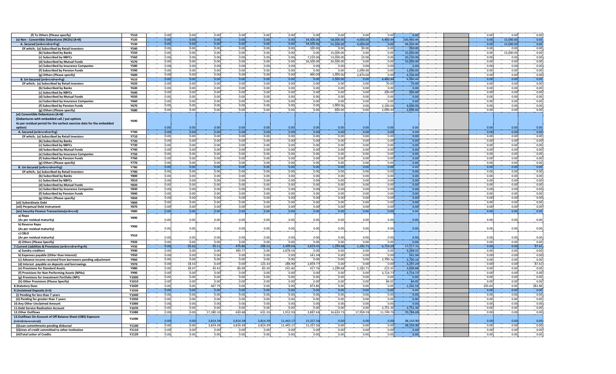| (f) To Others (Please specify)                                                                   | <b>Y510</b>         | 0.00         | 0.00          | 0.00          | 0.00          | 0.00          | 0.00              | 0.00           | 0.00              | 0.00             | 0.00               | 0.00                 | 0.00         | 0.00              | 0.00             |
|--------------------------------------------------------------------------------------------------|---------------------|--------------|---------------|---------------|---------------|---------------|-------------------|----------------|-------------------|------------------|--------------------|----------------------|--------------|-------------------|------------------|
| (x) Non - Convertible Debentures (NCDs) (A+B)                                                    | <b>Y520</b>         | 0.00         | 0.00          | 0.00          | 0.00          | 0.00          | 0.00              | 34,500.00      | 58,000.00         | 4,000.00         | 4,460.44           | 100,960.44           | 0.00         | 15,000.00         | 0.00             |
| A. Secured (a+b+c+d+e+f+g)                                                                       | <b>Y530</b>         | 0.00         | 0.00          | 0.00          | 0.00          | 0.00          | 0.00              | 34,500.00      | 55,500.00         | 4,000.00         | 0.00               | 94,000.00            | 0.00         | 15,000.00         | 0.00<br>0.00     |
| Of which; (a) Subscribed by Retail Investors                                                     | Y540                | 0.00<br>0.00 | 0.00<br>0.00  | 0.00<br>0.00  | 0.00<br>0.00  | 0.00<br>0.00  | 0.00<br>0.00      | 320.00<br>0.00 | 0.00<br>15,000.00 | 30.00<br>0.00    | 0.00<br>0.00       | 350.00<br>15,000.00  | 0.00<br>0.00 | 0.00<br>15,000.00 | 0.00             |
| (b) Subscribed by Banks<br>(c) Subscribed by NBFCs                                               | <b>Y550</b><br>Y560 | 0.00         | 0.00          | 0.00          | 0.00          | 0.00          | 0.00              | 7,220.00       | 13,000.00         | 10.00            | 0.00               | 20,230.00            | 0.00         | 0.00              | 0.00             |
| (d) Subscribed by Mutual Funds                                                                   | <b>Y570</b>         | 0.00         | 0.00          | 0.00          | 0.00          | 0.00          | 0.00              | 26,500.00      | 26,500.00         | 0.00             | 0.00               | 53,000.00            | 0.00         | 0.00              | 0.00             |
| (e) Subscribed by Insurance Companies                                                            | <b>Y580</b>         | 0.00         | 0.00          | 0.00          | 0.00          | 0.00          | 0.00              | 0.00           | 0.00              | 0.00             | 0.00               | 0.00                 | 0.00         | 0.00              | 0.00             |
| (f) Subscribed by Pension Funds                                                                  | Y590                | 0.00         | 0.00          | 0.00          | 0.00          | 0.00          | 0.00              | 0.00           | 0.00              | 1,090.00         | 0.00               | 1,090.00             | 0.00         | 0.00              | 0.00             |
| (g) Others (Please specify)                                                                      | Y600                | 0.00         | 0.00          | 0.00          | 0.00          | 0.00          | 0.00              | 460.00         | 1,000.00          | 2,870.00         | 0.00               | 4,330.00             | 0.00         | 0.00              | 0.00             |
| B. Un-Secured (a+b+c+d+e+f+g)                                                                    | Y610                | 0.00         | 0.00          | 0.00          | 0.00          | 0.00          | 0.00              | 0.00           | 2,500.00          | 0.00             | 4,460.44           | 6,960.44             | 0.00         | 0.00              | 0.00             |
| Of which; (a) Subscribed by Retail Investors                                                     | Y620                | 0.00         | 0.00          | 0.00          | 0.00          | 0.00          | 0.00              | 0.00           | 0.00              | 0.00             | 70.00              | 70.00                | 0.00         | 0.00              | 0.00             |
| (b) Subscribed by Banks                                                                          | Y630                | 0.00         | 0.00          | 0.00          | 0.00          | 0.00          | 0.00              | 0.00           | 0.00              | 0.00             | 0.00               | 0.00                 | 0.00         | 0.00              | 0.00             |
| (c) Subscribed by NBFCs                                                                          | Y640                | 0.00         | 0.00          | 0.00          | 0.00          | 0.00          | 0.00              | 0.00           | 0.00              | 0.00             | 200.00             | 200.00               | 0.00         | 0.00              | 0.00             |
| (d) Subscribed by Mutual Funds                                                                   | Y650                | 0.00         | 0.00          | 0.00          | 0.00          | 0.00          | 0.00              | 0.00           | 0.00              | 0.00             | 0.00               | 0.00                 | 0.00         | 0.00              | 0.00             |
| (e) Subscribed by Insurance Companies                                                            | <b>Y660</b>         | 0.00         | 0.00          | 0.00          | 0.00          | 0.00          | 0.00              | 0.00           | 0.00              | 0.00             | 0.00               | 0.00                 | 0.00         | 0.00              | 0.00             |
| (f) Subscribed by Pension Funds                                                                  | Y670                | 0.00         | 0.00          | 0.00          | 0.00          | 0.00          | 0.00              | 0.00           | 1,900.00          | 0.00             | 2,100.00           | 4,000.00             | 0.00         | 0.00              | 0.00             |
| (g) Others (Please specify)                                                                      | <b>Y680</b>         | 0.00         | 0.00          | 0.00          | 0.00          | 0.00          | 0.00              | 0.00           | 600.00            | 0.00             | 2,090.44           | 2,690.44             | 0.00         | 0.00              | 0.00             |
| (xi) Convertible Debentures (A+B)                                                                |                     |              |               |               |               |               |                   |                |                   |                  |                    |                      |              |                   |                  |
| (Debentures with embedded call / put options                                                     | Y690                |              |               |               |               |               |                   |                |                   |                  |                    |                      |              |                   |                  |
| As per residual period for the earliest exercise date for the embedded                           |                     |              |               |               |               |               |                   |                |                   |                  |                    |                      |              |                   |                  |
| option)                                                                                          |                     | 0.00         | 0.00          | 0.00<br>0.00  | 0.00          | 0.00          | 0.00              | 0.00           | 0.00              | 0.00<br>0.00     | 0.00               | 0.00<br>0.00         | 0.00         | 0.00<br>0.00      | 0.00             |
| A. Secured (a+b+c+d+e+f+g)                                                                       | <b>Y700</b>         | 0.00         | 0.00          |               | 0.00          | 0.00          | 0.00              | 0.00           | 0.00              |                  | 0.00               |                      | 0.00         |                   | 0.00             |
| Of which; (a) Subscribed by Retail Investors<br>(b) Subscribed by Banks                          | Y710<br>Y720        | 0.00<br>0.00 | 0.00<br>0.00  | 0.00<br>0.00  | 0.00<br>0.00  | 0.00<br>0.00  | 0.00<br>0.00      | 0.00<br>0.00   | 0.00<br>0.00      | 0.00<br>0.00     | 0.00<br>0.00       | 0.00<br>0.00         | 0.00<br>0.00 | 0.00<br>0.00      | 0.00<br>0.00     |
| (c) Subscribed by NBFCs                                                                          | <b>Y730</b>         | 0.00         | 0.00          | 0.00          | 0.00          | 0.00          | 0.00              | 0.00           | 0.00              | 0.00             | 0.00               | 0.00                 | 0.00         | 0.00              | 0.00             |
| (d) Subscribed by Mutual Funds                                                                   | Y740                | 0.00         | 0.00          | 0.00          | 0.00          | 0.00          | 0.00              | 0.00           | 0.00              | 0.00             | 0.00               | 0.00                 | 0.00         | 0.00              | 0.00             |
| (e) Subscribed by Insurance Companies                                                            | <b>Y750</b>         | 0.00         | 0.00          | 0.00          | 0.00          | 0.00          | 0.00              | 0.00           | 0.00              | 0.00             | 0.00               | 0.00                 | 0.00         | 0.00              | 0.00             |
| (f) Subscribed by Pension Funds                                                                  | Y760                | 0.00         | 0.00          | 0.00          | 0.00          | 0.00          | 0.00              | 0.00           | 0.00              | 0.00             | 0.00               | 0.00                 | 0.00         | 0.00              | 0.00             |
| (g) Others (Please specify)                                                                      | <b>Y770</b>         | 0.00         | 0.00          | 0.00          | 0.00          | 0.00          | 0.00 <sub>1</sub> | 0.00           | 0.00              | 0.00             | 0.00               | 0.00                 | 0.00         | 0.00              | 0.00             |
| B. Un-Secured (a+b+c+d+e+f+g)                                                                    | Y780                | 0.00         | 0.00          | 0.00          | 0.00          | 0.00          | 0.00              | 0.00           | 0.00              | 0.00             | 0.00               | 0.00                 | 0.00         | 0.00              | 0.00             |
| Of which; (a) Subscribed by Retail Investors                                                     | Y790                | 0.00         | 0.00          | 0.00          | 0.00          | 0.00          | 0.00              | 0.00           | 0.00              | 0.00             | 0.00               | 0.00                 | 0.00         | 0.00              | 0.00             |
| (b) Subscribed by Banks                                                                          | <b>Y800</b>         | 0.00         | 0.00          | 0.00          | 0.00          | 0.00          | 0.00              | 0.00           | 0.00              | 0.00             | 0.00               | 0.00                 | 0.00         | 0.00              |                  |
| (c) Subscribed by NBFCs                                                                          | Y810                | 0.00         | 0.00          | 0.00          | 0.00          | 0.00          | 0.00              | 0.00           | 0.00              | 0.00             | 0.00               | 0.00                 | 0.00         | 0.00              | $0.00$<br>$0.00$ |
| (d) Subscribed by Mutual Funds                                                                   | Y820                | 0.00         | 0.00          | 0.00          | 0.00          | 0.00          | 0.00              | 0.00           | 0.00              | 0.00             | 0.00               | 0.00                 | 0.00         | 0.00              | 0.00             |
| (e) Subscribed by Insurance Companies                                                            | <b>Y830</b>         | 0.00         | 0.00          | 0.00          | 0.00          | 0.00          | 0.00              | 0.00           | 0.00              | 0.00             | 0.00               | 0.00                 | 0.00         | 0.00              | 0.00             |
| (f) Subscribed by Pension Funds                                                                  | Y840                | 0.00         | 0.00          | 0.00          | 0.00          | 0.00          | 0.00              | 0.00           | 0.00              | 0.00             | 0.00               | 0.00                 | 0.00         | 0.00              | 0.00             |
| (g) Others (Please specify)                                                                      | <b>Y850</b>         | 0.00         | 0.00          | 0.00          | 0.00          | 0.00          | 0.00              | 0.00           | 0.00              | 0.00             | 0.00               | 0.00                 | 0.00         | 0.00              | 0.00             |
| (xii) Subordinate Debt                                                                           | Y860                | 0.00         | 0.00          | 0.00          | 0.00          | 0.00          | 0.00              | 0.00           | 0.00              | 0.00             | 0.00               | 0.00                 | 0.00         | 0.00              | 0.00             |
| (xiii) Perpetual Debt Instrument                                                                 | <b>Y870</b>         | 0.00         | 0.00          | 0.00          | 0.00          | 0.00          | 0.00              | 0.00           | 0.00              | 0.00             | 0.00               | 0.00                 | 0.00         | 0.00              | 0.00             |
| (xiv) Security Finance Transactions(a+b+c+d)                                                     | <b>Y880</b>         | 0.00         | 0.00          | 0.00          | 0.00          | 0.00          | 0.00              | 0.00           | 0.00              | 0.00             | 0.00               | 0.00                 | 0.00         | 0.00              | 0.00             |
| a) Repo<br>(As per residual maturity)                                                            | Y890                | 0.00         | 0.00          | 0.00          | 0.00          | 0.00          | 0.00              | 0.00           | 0.00              | 0.00             | 0.00               | 0.00                 | 0.00         | 0.00              | 0.00             |
| b) Reverse Repo                                                                                  |                     |              |               |               |               |               |                   |                |                   |                  |                    |                      |              |                   |                  |
| (As per residual maturity)                                                                       | Y900                | 0.00         | 0.00          | 0.00          | 0.00          | 0.00          | 0.00              | 0.00           | 0.00              | 0.00             | 0.00               | 0.00                 | 0.00         | 0.00              | 0.00             |
| c) CBLO                                                                                          |                     |              |               |               |               |               |                   |                |                   |                  |                    |                      |              |                   |                  |
| (As per residual maturity)                                                                       | Y910                | 0.00         | 0.00          | 0.00          | 0.00          | 0.00          | 0.00              | 0.00           | 0.00              | 0.00             | 0.00               | 0.00                 | 0.00         | 0.00              | 0.00             |
| d) Others (Please Specify)                                                                       | Y920                | 0.00         | 0.00          | 0.00          | 0.00          | 0.00          | 0.00              | 0.00           | 0.00              | 0.00             | 0.00               | 0.00                 | 0.00         | 0.00              | 0.00             |
| 7. Current Liabilities & Provisions (a+b+c+d+e+f+g+h)                                            | Y930                | 0.00         | 56.62         | 50.11         | 476.86        | 208.53        | 3.409.04          | 3.819.47       | 1,299.68          | 1.182.71         | 6,714.29           | 17.217.31            | 0.00         | 0.00              | 87.61            |
| a) Sundry creditors                                                                              | Y940                | 0.00         | 0.00          | 0.00          | 390.77        | 0.00          | 2,878.54          | 0.00           | 0.00              | 0.00             | 0.00               | 3,269.31             | 0.00         | 0.00              | 0.00             |
| b) Expenses payable (Other than Interest)                                                        | <b>Y950</b>         | 0.00         | 0.00          | 0.00          | 0.00          | 0.00          | 0.00              | 541.94         | 0.00              | 0.00             | 0.00               | 541.94               | 0.00         | 0.00              | 0.00             |
| (c) Advance income received from borrowers pending adjustment                                    | Y960                | 0.00         | 0.00          | 0.00          | 0.00          | 0.00          | 0.00              | 0.00           | 0.00              | 0.00             | 2,700.16           | 2,700.16             | 0.00         | 0.00              | 0.00             |
| (d) Interest payable on deposits and borrowings                                                  | <b>Y970</b>         | 0.00         | 18.55         | 6.69          | 0.00          | 123.33        | 288.90            | 2,859.77       | 0.00              | 0.00             | 0.00               | 3,297.24             | 0.00         | 0.00              | 87.61            |
| (e) Provisions for Standard Assets                                                               | Y980<br>Y990        | 0.00<br>0.00 | 38.07<br>0.00 | 43.42<br>0.00 | 86.09<br>0.00 | 85.20<br>0.00 | 241.60<br>0.00    | 417.76<br>0.00 | 1,299.68<br>0.00  | 1,182.71<br>0.00 | 215.35<br>3,714.73 | 3,609.88<br>3,714.73 | 0.00<br>0.00 | 0.00<br>0.00      | 0.00<br>0.00     |
| (f) Provisions for Non Performing Assets (NPAs)<br>(g) Provisions for Investment Portfolio (NPI) | Y1000               | 0.00         | 0.00          | 0.00          | 0.00          | 0.00          | 0.00              | 0.00           | 0.00              | 0.00             | 0.00               | 0.00                 | 0.00         | 0.00              | 0.00             |
| (h) Other Provisions (Please Specify)                                                            | Y1010               | 0.00         | 0.00          | 0.00          | 0.00          | 0.00          | 0.00              | 0.00           | 0.00              | 0.00             | 84.05              | 84.05                | 0.00         | 0.00              | 0.00             |
| <b>8.Statutory Dues</b>                                                                          | Y1020               | 0.00         | 0.00          | 467.79        | 0.00          | 0.00          | 0.00              | 873.80         | 0.00              | 0.00             | 0.00               | 1,341.59             | 105.60       | 0.00              | 281.86           |
| 9. Unclaimed Deposits (i+ii)                                                                     | Y1030               | 0.00         | 0.00          | 0.00          | 0.00          | 0.00          | 0.00              | 0.00           | 0.00              | 0.00             | 0.00               | 0.00                 | 0.00         | 0.00              | 0.00             |
| (i) Pending for less than 7 years                                                                | Y1040               | 0.00         | 0.00          | 0.00          | 0.00          | 0.00          | 0.00              | 0.00           | 0.00              | 0.00             | 0.00               | 0.00                 | 0.00         | 0.00              | 0.00             |
| (ii) Pending for greater than 7 years                                                            | Y1050               | 0.00         | 0.00          | 0.00          | 0.00          | 0.00          | 0.00              | 0.00           | 0.00              | 0.00             | 0.00               | 0.00                 | 0.00         | 0.00              | 0.00             |
| 10.Any Other Unclaimed Amount                                                                    | Y1060               | 0.00         | 0.00          | 0.00          | 0.00          | 0.00          | 0.00              | 0.00           | 0.00              | 0.00             | 0.00               | 0.00                 | 0.00         | 0.00              | 0.00             |
| 11. Debt Service Realisation Account                                                             | Y1070               | 0.00         | 0.00          | 0.00          | 0.00          | 0.00          | 0.00              | 0.00           | 0.00              | 0.00             | 2,751.36           | 2,751.36             | 0.00         | 0.00              | 0.00             |
| 12. Other Outflows                                                                               | Y1080               | 0.00         | 0.00          | 17,380.10     | 630.68        | 631.33        | 1,912.93          | 3,887.63       | 16,633.73         | 17,958.59        | 11,749.70          | 70,784.69            | 0.00         | 0.00              | 0.00             |
| 13.Outflows On Account of Off Balance Sheet (OBS) Exposure                                       | Y1090               |              |               |               |               |               |                   |                |                   |                  |                    |                      |              |                   |                  |
| (i+ii+iii+iv+v+vi+vii)                                                                           |                     | 0.00         | 0.00          | 3.814.39      | 3.814.39      | 3.814.39      | 11.443.17         | 15.257.56      | 0.00              | 0.00             | 0.00               | 38,143.90            | 0.00         | 0.00              | 0.00             |
| (i)Loan commitments pending disbursal                                                            | Y1100               | 0.00         | 0.00          | 3,814.39      | 3,814.39      | 3,814.39      | 11,443.17         | 15,257.56      | 0.00              | 0.00             | 0.00               | 38,143.90            | 0.00         | 0.00              | 0.00             |
| (ii)Lines of credit committed to other institution                                               | Y1110               | 0.00         | 0.00          | 0.00          | 0.00          | 0.00          | 0.00              | 0.00           | 0.00              | 0.00             | 0.00               | 0.00                 | 0.00         | 0.00              | 0.00             |
| (iii)Total Letter of Credits                                                                     | Y1120               | 0.00         | 0.00          | 0.00          | 0.00          | 0.00          | 0.00              | 0.00           | 0.00              | 0.00             | 0.00               | 0.00                 | 0.00         | 0.00              | 0.00             |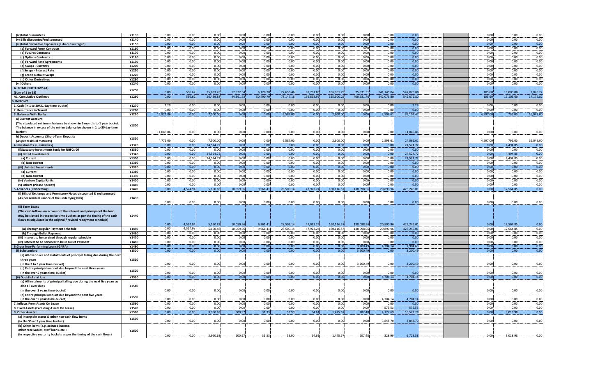| (iv)Total Guarantees                                                       | Y1130 | 0.00      | 0.00     | 0.00      | 0.00      | 0.00      | 0.00      | 0.00       | 0.00       | 0.00       | 0.00       | 0.00       | 0.00     | 0.00      | 0.00                |
|----------------------------------------------------------------------------|-------|-----------|----------|-----------|-----------|-----------|-----------|------------|------------|------------|------------|------------|----------|-----------|---------------------|
| (v) Bills discounted/rediscounted                                          | Y1140 | 0.00      | 0.00     | 0.00      | 0.00      | 0.00      | 0.00      | 0.00       | 0.00       | 0.00.      | 0.00       | 0.00       | 0.00     | 0.00      | 0.00                |
| (vi)Total Derivative Exposures (a+b+c+d+e+f+g+h)                           | Y1150 | 0.00      | 0.00     | 0.00      | 0.00      | 0.00      | 0.00      | 0.00       | 0.00       | 0.00       | 0.00       | 0.00       | 0.00     | 0.00      | 0.00                |
| (a) Forward Forex Contracts                                                | Y1160 | 0.00      | 0.00     | 0.00      | 0.00      | 0.00      | 0.00      | 0.00       | 0.00       | 0.00       | 0.00       | 0.00       | 0.00     | 0.00      |                     |
|                                                                            | Y1170 | 0.00      | 0.00     | 0.00      | 0.00      | 0.00      | 0.00      | 0.00       | 0.00       | 0.00       | 0.00       | 0.00       | 0.00     | 0.00      |                     |
| (b) Futures Contracts                                                      |       |           |          |           |           |           |           |            |            |            |            |            |          |           | $\frac{0.00}{0.00}$ |
| (c) Options Contracts                                                      | Y1180 | 0.00.     | 0.00.    | 0.00      | 0.00      | 0.00      | 0.00      | 0.00       | 0.00       | 0.00       | 0.00       | 0.00       | 0.00     | 0.00      |                     |
| (d) Forward Rate Agreements                                                | Y1190 | 0.00      | 0.00     | 0.00      | 0.00      | 0.00      | 0.00      | 0.00       | 0.00       | 0.00       | 0.00       | 0.00       | 0.00     | 0.00      | 0.00                |
| (e) Swaps - Currency                                                       | Y1200 | 0.00      | 0.00     | 0.00      | 0.00      | 0.00      | 0.00      | 0.00       | 0.00       | 0.00       | 0.00       | 0.00       | 0.00     | 0.00      | 0.00                |
| (f) Swaps - Interest Rate                                                  | Y1210 | 0.00      | 0.00.    | 0.00      | 0.00      | 0.00      | 0.00      | 0.00       | 0.00       | 0.00.      | 0.00       | 0.00       | 0.00     | 0.00      | 0.00                |
|                                                                            |       |           |          |           |           |           |           |            |            |            |            |            |          | 0.00      |                     |
| (g) Credit Default Swaps                                                   | Y1220 | 0.00      | 0.00     | 0.00      | 0.00      | 0.00      | 0.00      | 0.00       | 0.00       | 0.00       | 0.00       | 0.00       | 0.00     |           | 0.00                |
| (h) Other Derivatives                                                      | Y1230 | 0.00      | 0.00     | 0.00      | 0.00      | 0.00      | 0.00      | 0.00       | 0.00       | 0.00.      | 0.00       | 0.00       | 0.00     | 0.00      | 0.00                |
| (vii)Others                                                                | Y1240 | 0.00      | 0.00     | 0.00      | 0.00      | 0.00      | 0.00      | 0.00       | 0.00       | 0.00       | 0.00       | 0.00       | 0.00     | 0.00      | 0.00                |
| A. TOTAL OUTFLOWS (A)                                                      |       |           |          |           |           |           |           |            |            |            |            |            |          |           |                     |
| (Sum of 1 to 13)                                                           | Y1250 | 0.00      | 556.62   | 25,883.26 | 17,922.04 | 6,128.78  | 27,656.46 | 81,751.80  | 166,001.29 | 75,031.51  | 141,145.04 | 542,076.8  | 105.60   | 15,000.00 | 2,070.2             |
| <b>A1. Cumulative Outflows</b>                                             | Y1260 | 0.00      | 556.62   | 26,439.88 | 44,361.92 | 50,490.70 | 78,147.16 | 159,898.96 | 325,900.25 | 400,931.76 | 542,076.80 | 542,076.80 | 105.60   | 15,105.60 | 17,175.82           |
|                                                                            |       |           |          |           |           |           |           |            |            |            |            |            |          |           |                     |
| <b>B. INFLOWS</b>                                                          |       |           |          |           |           |           |           |            |            |            |            |            |          |           |                     |
| 1. Cash (In 1 to 30/31 day time-bucket)                                    | Y1270 | 2.29      | 0.00     | 0.00      | 0.00      | 0.00      | 0.00      | 0.00       | 0.00       | 0.00       | 0.00       | 2.29       | 0.00     | 0.00      | 0.00                |
| 2. Remittance in Transit                                                   | Y1280 | 0.00      | 0.00     | 0.00      | 0.00      | 0.00      | 0.00      | 0.00       | 0.00       | 0.00       | 0.00       | 0.00       | 0.00     | 0.00      | 0.00                |
| 3. Balances With Banks                                                     | Y1290 | 15.821.86 | 0.00     | 7,500.00  | 0.00      | 0.00      | 6.587.00  | 0.00       | 2,600.00   | 0.00       | 2,598.61   | 35,107.47  | 4,597.00 | 796.00    | 16,049.00           |
| a) Current Account                                                         |       |           |          |           |           |           |           |            |            |            |            |            |          |           |                     |
|                                                                            |       |           |          |           |           |           |           |            |            |            |            |            |          |           |                     |
| (The stipulated minimum balance be shown in 6 months to 1 year bucket      | Y1300 |           |          |           |           |           |           |            |            |            |            |            |          |           |                     |
| The balance in excess of the minim balance be shown in 1 to 30 day time    |       |           |          |           |           |           |           |            |            |            |            |            |          |           |                     |
| bucket)                                                                    |       | 11,045.86 | 0.00     | 0.00      | 0.00      | 0.00      | 0.00      | 0.00       | 0.00       | 0.00       | 0.00       | 11,045.8   | 0.00     | 0.00      | 0.00                |
| b) Deposit Accounts /Short-Term Deposits                                   |       |           |          |           |           |           |           |            |            |            |            |            |          |           |                     |
| (As per residual maturity)                                                 | Y1310 | 4,776.00  | 0.00     | 7,500.00  | 0.00      | 0.00      | 6,587.00  | 0.00       | 2,600.00   | 0.00       | 2,598.61   | 24,061.6   | 4,597.00 | 796.00    | 16,049.00           |
|                                                                            |       |           |          |           |           |           |           |            |            |            |            |            |          |           |                     |
| 4.Investments (i+ii+iii+iv+v)                                              | Y1320 | 0.00      | 0.00     | 24,524.72 | 0.00      | 0.00      | 0.00      | 0.00       | 0.00       | 0.00       | 0.00       | 24,524.72  | 0.00     | 4.494.85  | 0.00                |
| (i)Statutory Investments (only for NBFCs-D)                                | Y1330 | 0.00      | 0.00     | 0.00      | 0.00      | 0.00      | 0.00      | 0.00       | 0.00       | 0.00       | 0.00       | 0.00       | 0.00     | 0.00      | 0.00                |
| (ii) Listed Investments                                                    | Y1340 | 0.00      | 0.00     | 24,524.72 | 0.00      | 0.00      | 0.00      | 0.00       | 0.00       | 0.00       | 0.00       | 24,524.72  | 0.00     | 4,494.85  | 0.00                |
| (a) Current                                                                | Y1350 | 0.00      | 0.00     | 24,524.72 | 0.00      | 0.00      | 0.00      | 0.00       | 0.00       | 0.00       | 0.00       | 24,524.72  | 0.00     | 4,494.85  | 0.00                |
| (b) Non-current                                                            | Y1360 | 0.00      | 0.00     | 0.00      | 0.00      | 0.00      | 0.00      | 0.00       | 0.00       | 0.00       | 0.00       | 0.00       | 0.00     | 0.00      | 0.00                |
|                                                                            |       |           |          |           |           |           |           |            |            |            |            |            |          |           |                     |
| (iii) Unlisted Investments                                                 | Y1370 | 0.00      | 0.00     | 0.00      | 0.00      | 0.00      | 0.00      | 0.00       | 0.00       | 0.00       | 0.00       | 0.00       | 0.00     | 0.00      | 0.00                |
| (a) Current                                                                | Y1380 | 0.00      | 0.00     | 0.00      | 0.00      | 0.00      | 0.00      | 0.00       | 0.00       | 0.00       | 0.00       | 0.00       | 0.00     | 0.00      | 0.00                |
| (b) Non-current                                                            | Y1390 | 0.00      | 0.00     | 0.00      | 0.00      | 0.00      | 0.00      | 0.00       | 0.00       | 0.00       | 0.00       | 0.00       | 0.00     | 0.00      | 0.00                |
| (iv) Venture Capital Units                                                 | Y1400 | 0.00      | 0.00     | 0.00      | 0.00      | 0.00      | 0.00      | 0.00       | 0.00       | 0.00       | 0.00       | 0.00       | 0.00     | 0.00      | 0.00                |
|                                                                            | Y1410 | 0.00      | 0.00     | 0.00      | 0.00      | 0.00      | 0.00      | 0.00       | 0.00       | 0.00       | 0.00       | 0.00       | 0.00     | 0.00      | 0.00                |
|                                                                            |       |           |          |           |           |           |           |            |            |            |            |            |          |           |                     |
| (v) Others (Please Specify)                                                |       |           |          |           |           |           |           |            |            |            |            |            |          |           |                     |
| <b>5.Advances (Performing)</b>                                             | Y1420 | 0.00      | 4,524.94 | 5,160.83  | 10,059.96 | 9,961.41  | 28,509.14 | 47,923.24  | 160,116.57 | 138,098.9  | 20,890.96  | 425,246.01 | 0.00     | 12,564.8  | 0.00                |
| (i) Bills of Exchange and Promissory Notes discounted & rediscounted       |       |           |          |           |           |           |           |            |            |            |            |            |          |           |                     |
|                                                                            | Y1430 |           |          |           |           |           |           |            |            |            |            |            |          |           |                     |
| (As per residual usance of the underlying bills)                           |       |           |          |           |           |           |           |            |            |            |            |            |          |           |                     |
|                                                                            |       | 0.00      | 0.00     | 0.00      | 0.00      | 0.00      | 0.00      | 0.00       | 0.00       | 0.00       | 0.00       | 0.00       | 0.00     | 0.00      | 0.00                |
| (ii) Term Loans                                                            |       |           |          |           |           |           |           |            |            |            |            |            |          |           |                     |
| (The cash inflows on account of the interest and principal of the loan     |       |           |          |           |           |           |           |            |            |            |            |            |          |           |                     |
| may be slotted in respective time buckets as per the timing of the cash    | Y1440 |           |          |           |           |           |           |            |            |            |            |            |          |           |                     |
| flows as stipulated in the original / revised repayment schedule)          |       |           |          |           |           |           |           |            |            |            |            |            |          |           |                     |
|                                                                            |       | 0.00      | 4,524.94 | 5,160.83  | 10,059.96 | 9,961.41  | 28,509.14 | 47,923.24  | 160,116.57 | 138,098.96 | 20,890.96  | 425,246.0  | 0.00     | 12,564.8  | 0.00                |
|                                                                            |       |           |          |           |           |           |           |            |            |            |            |            |          |           |                     |
| (a) Through Regular Payment Schedule                                       | Y1450 | 0.00      | 4,524.94 | 5,160.83  | 10,059.96 | 9,961.41  | 28,509.14 | 47,923.24  | 160,116.57 | 138,098.96 | 20,890.96  | 425,246.0  | 0.00     | 12,564.85 | 0.00                |
| (b) Through Bullet Payment                                                 | Y1460 | 0.00      | 0.001    | 0.00      | 0.00      | 0.001     | 0.00      | 0.00.      | 0.00       | 0.00.      | 0.00       | 0.00       | 0.00     | 0.00      | 0.00                |
| (iii) Interest to be serviced through regular schedule                     | Y1470 | 0.00      | 0.00     | 0.00      | 0.00      | 0.00      | 0.00      | 0.00       | 0.00       | 0.00       | 0.00       | 0.00       | 0.00     | 0.00      | 0.00                |
| (iv) Interest to be serviced to be in Bullet Payment                       | Y1480 | 0.00      | 0.00     | 0.00      | 0.00      | 0.00      | 0.00      | 0.00       | 0.00       | 0.00       | 0.00       | 0.00       | 0.00     | 0.00      | 0.00                |
|                                                                            | Y1490 | 0.00      | 0.00     | 0.00      | 0.00      | 0.00      | 0.00      | 0.00       | 0.00       | 3,200.49   | 4,704.14   | 7,904.6    | 0.00     | 0.00      |                     |
| <b>6.Gross Non-Performing Loans (GNPA)</b>                                 |       |           |          |           |           |           |           |            |            |            |            |            |          |           | 0.00                |
| (i) Substandard                                                            | Y1500 | 0.00      | 0.00     | 0.00      | 0.00      | 0.00      | 0.00      | 0.00       | 0.00       | 3,200.49   | 0.00       | 3,200.4    | 0.00     | 0.00      | 0.00                |
| (a) All over dues and instalments of principal falling due during the next |       |           |          |           |           |           |           |            |            |            |            |            |          |           |                     |
| three years                                                                | Y1510 |           |          |           |           |           |           |            |            |            |            |            |          |           |                     |
| (In the 3 to 5 year time-bucket)                                           |       | 0.00      | 0.00     | 0.00      | 0.00      | 0.00      | 0.00      | 0.00       | 0.00       | 3,200.49   | 0.00       | 3,200.49   | 0.00     | 0.00      | 0.00                |
| (b) Entire principal amount due beyond the next three years                |       |           |          |           |           |           |           |            |            |            |            |            |          |           |                     |
| (In the over 5 years time-bucket)                                          | Y1520 | 0.00      | 0.00     | 0.00      | 0.00      | 0.00      | 0.00      | 0.00       | 0.00       | 0.00       | 0.00       | 0.00       | 0.00     | 0.00      | 0.00                |
|                                                                            |       |           |          |           |           |           |           |            |            |            |            |            |          |           |                     |
| (ii) Doubtful and loss                                                     | Y1530 | 0.00      | 0.00     | 0.00      | 0.00      | 0.00      | 0.00      | 0.00       | 0.00       | 0.00       | 4,704.14   | 4,704.14   | 0.00     | 0.00      | 0.00                |
| (a) All instalments of principal falling due during the next five years as |       |           |          |           |           |           |           |            |            |            |            |            |          |           |                     |
| also all over dues                                                         | Y1540 |           |          |           |           |           |           |            |            |            |            |            |          |           |                     |
| (In the over 5 years time-bucket)                                          |       | 0.00      | 0.00     | 0.00      | 0.00      | 0.00      | 0.00      | 0.00       | 0.00       | 0.00       | 0.00       | 0.00       | 0.00     | 0.00      | 0.00                |
| (b) Entire principal amount due beyond the next five years                 |       |           |          |           |           |           |           |            |            |            |            |            |          |           |                     |
|                                                                            | Y1550 |           |          | 0.00      |           | 0.00      | 0.00      |            |            |            |            |            |          | 0.00      |                     |
| (In the over 5 years time-bucket)                                          |       | 0.00      | 0.00     |           | 0.00      |           |           | 0.00       | 0.00       | 0.00       | 4,704.14   | 4,704.14   | 0.00     |           | 0.00                |
| 7. Inflows From Assets On Lease                                            | Y1560 | 0.00      | 0.00     | 0.00      | 0.00      | 0.00      | 0.00      | 0.00       | 0.00       | 0.00       | 0.00       | 0.00       | 0.00     | 0.00      | 0.00                |
| 8. Fixed Assets (Excluding Assets On Lease)                                | Y1570 | 0.00      | 0.00     | 0.00      | 0.00      | 0.00      | 0.00      | 0.00       | 0.00       | 0.00       | 575.53     | 575.5      | 0.00     | 0.00      | 0.00                |
| 9. Other Assets:                                                           | Y1580 | 0.00      | 0.00     | 3,960.63  | 600.97    | 31.33     | 53.90     | 64.61      | 1,475.67   | 207.48     | 4,177.69   | 10,572.2   | 0.00     | 3,018.98  | 0.00                |
| (a) Intangible assets & other non-cash flow items                          |       |           |          |           |           |           |           |            |            |            |            |            |          |           |                     |
|                                                                            | Y1590 | 0.00      | 0.00     | 0.00      | 0.00      | 0.00      |           |            |            | 0.00       |            |            |          | 0.00      |                     |
| (In the 'Over 5 year time bucket)                                          |       |           |          |           |           |           | 0.00      | 0.00       | 0.00       |            | 3,848.70   | 3,848.70   | 0.00     |           | 0.00                |
| (b) Other items (e.g. accrued income                                       |       |           |          |           |           |           |           |            |            |            |            |            |          |           |                     |
| other receivables, staff loans, etc.)                                      | Y1600 |           |          |           |           |           |           |            |            |            |            |            |          |           |                     |
| (In respective maturity buckets as per the timing of the cash flows)       |       | 0.00      | 0.00     | 3.960.63  | 600.97    | 31.33     | 53.90     | 64.61      | 1,475.67   | 207.48     | 328.99     | 6,723.58   | 0.00     | 3,018.98  | 0.00                |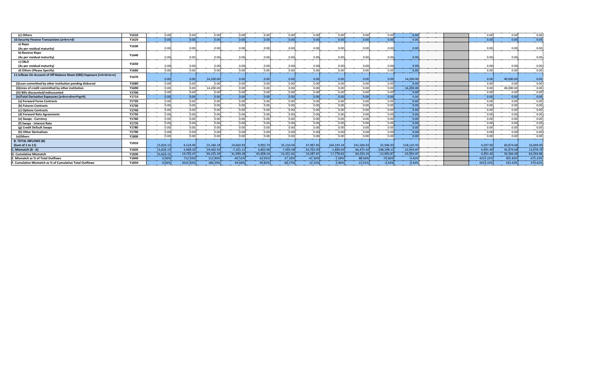| (c) Others                                                                | Y1610 | 0.00             | 0.00           | 0.00 <sub>1</sub>        | 0.00            | 0.00                  | 0.00            | 0.00               | 0.00             | 0.00            | 0.00                       | 0.00         |  | 0.00               | 0.00            | 0.00                      |
|---------------------------------------------------------------------------|-------|------------------|----------------|--------------------------|-----------------|-----------------------|-----------------|--------------------|------------------|-----------------|----------------------------|--------------|--|--------------------|-----------------|---------------------------|
| 10. Security Finance Transactions (a+b+c+d)                               | Y1620 | 0.00             | 0.001          | 0.00 <sub>1</sub>        | 0.00            | 0.00                  | 0.00            | 0.00               | 0.00             | 0.00            | 0.00.                      | 0.00         |  | 0.00               | 0.00            | 0.00                      |
| a) Repo                                                                   | Y1630 |                  |                |                          |                 |                       |                 |                    |                  |                 |                            |              |  |                    |                 |                           |
| (As per residual maturity                                                 |       | 0.00             | 0.00           | 0.00                     | 0.00            | 0.00                  | 0.00            | 0.00               | 0.00             | 0.00            | 0.00                       | 0.00         |  | 0.00               | 0.00            | 0.00                      |
| b) Reverse Repo                                                           | Y1640 |                  |                |                          |                 |                       |                 |                    |                  |                 |                            |              |  |                    |                 |                           |
| (As per residual maturity                                                 |       | 0.00             | 0.00           | 0.00                     | 0.00            | 0.00                  | 0.00            | 0.00               | 0.00             | 0.00            | 0.001                      | 0.00         |  | 0.00               | 0.00            | 0.00                      |
| c) CBLO                                                                   | Y1650 |                  |                |                          |                 |                       |                 |                    |                  |                 |                            |              |  |                    |                 |                           |
| (As per residual maturity                                                 |       | 0.00<br>         | 0.00           | 0.00<br>-------          | 0.00<br>        | 0.00                  | 0.00<br>------  | 0.00               | 0.00<br>         | 0.00            | 0.00<br>------             | 0.00         |  | 0.00               | 0.00<br>-----   | 0.00<br>.                 |
| d) Others (Please Specify)                                                | Y1660 | 0.00             | 0.00           | 0.00                     | 0.00            | 0.00                  | 0.00            | 0.00               | 0.00.            | 0.00            | 0.00                       | 0.00         |  | 0.00               | 0.00            | 0.00                      |
| 11.Inflows On Account of Off Balance Sheet (OBS) Exposure (i+ii+iii+iv+v) | Y1670 |                  |                |                          |                 |                       |                 |                    |                  |                 |                            |              |  |                    |                 |                           |
|                                                                           |       | 0.00             | 0.00           | 14,200.00                | 0.00            | 0.00                  | 0.00            | 0.00               | 0.00             | 0.00            | 0.00                       | 14,200,00    |  | 0.00               | 40,000,00       | 0.00<br>                  |
| (i)Loan committed by other institution pending disbursal                  | Y1680 | 0.00             | 0.00           | 0.00                     | 0.00            | 0.00                  | 0.00            | 0.00               | 0.00             | 0.00            | 0.00                       | 0.00         |  | 0.00               | 0.00            | 0.00<br><b>STATISTICS</b> |
| (ii)Lines of credit committed by other institution                        | Y1690 | 0.00             | 0.00           | 14,200.00                | 0.00            | 0.00                  | 0.00            | 0.00               | 0.00<br>         | 0.00            | 0.00                       | 14,200.00    |  | 0.00               | 40,000.00       | 0.00                      |
| (iii) Bills discounted/rediscounted                                       | Y1700 | 0.00             | 0.00           | 0.00<br>فأتحده والمتعادل | 0.00<br>------  | 0.00<br>والمحمد ومحال | 0.00            | 0.00<br>والمستحققة | 0.00             | 0.00            | 0.00<br>. <del>. .</del> . | 0.00<br>.    |  | 0.00<br>------     | 0.00<br>------  | 0.00                      |
| (iv)Total Derivative Exposures (a+b+c+d+e+f+g+h)                          | Y1710 | 0.00             | 0.00           | 0.00                     | 0.00<br>-----   | 0.00                  | 0.00            | 0.00               | 0.00             | 0.00            | 0.00<br><b>STATISTICS</b>  | 0.00         |  | 0.00<br>-----      | 0.00            | 0.00<br>------            |
| (a) Forward Forex Contracts                                               | Y1720 | 0.00<br>saasidad | 0.00           | 0.00                     | 0.00<br>        | 0.00<br>-------       | 0.00<br>------  | 0.00               | 0.00             | 0.00<br>------- | 0.00                       | 0.00<br>     |  | 0.00<br>------     | 0.00<br>------- | 0.00                      |
| (b) Futures Contracts                                                     | Y1730 | 0.00<br>.        | 0.00           | 0.00                     | 0.00<br>.       | 0.00                  | 0.00            | 0.00               | 0.00             | 0.00            | 0.00<br>------             | 0.00         |  | 0.00<br>-----      | 0.00<br>-----   | 0.00                      |
| (c) Options Contracts                                                     | Y1740 | 0.00             | 0.00           | 0.00                     | 0.00            | 0.00                  | 0.00            | 0.00               | 0.00<br>         | 0.00            | 0.00<br>------             | 0.00         |  | 0.00               | 0.00            | 0.00<br>-----             |
| (d) Forward Rate Agreements                                               | Y1750 | 0.00             | 0.00           | 0.00                     | 0.00            | 0.00                  | 0.00            | 0.00               | 0.00             | 0.00            | 0.00                       | 0.00         |  | 0.00               | 0.00            | 0.00<br>------            |
| (e) Swaps - Currency                                                      | Y1760 | 0.00<br>.        | 0.00           | 0.00                     | 0.00            | 0.00                  | 0.00            | 0.00               | 0.00<br>.        | 0.00            | 0.00<br>------             | 0.00         |  | 0.00               | 0.00            | 0.00<br>.                 |
| (f) Swaps - Interest Rate                                                 | Y1770 | 0.00<br>----     | 0.00           | 0.00                     | 0.00            | 0.00                  | 0.00            | 0.00               | 0.00<br>------   | 0.00            | 0.00<br>------             | 0.00         |  | 0.00               | 0.00            | 0.00<br>-------           |
| (g) Credit Default Swaps                                                  | Y1780 | 0.00             | 0.00<br>------ | 0.00<br>-------          | 0.00<br>------- | 0.00.<br>a ann an L   | 0.00.<br>------ | 0.00<br>.          | 0.00<br>-------- | 0.00            | 0.00<br>.                  | 0.00         |  | 0.00<br>. <b>.</b> | 0.00<br>------- | 0.00<br>------            |
| (h) Other Derivatives                                                     | Y1790 | 0.00             | 0.00           | 0.00                     | 0.00            | 0.00                  | 0.00            | 0.00               | 0.00             | 0.00            | 0.00                       | 0.00         |  | 0.00               | 0.00            | 0.00                      |
| (v)Others                                                                 | Y1800 | 0.00             | 0.00           | 0.00                     | 0.00            | 0.00                  | 0.00            | 0.00               | 0.00             | 0.00            | 0.00                       | 0.00         |  | 0.00               | 0.00            | 0.00                      |
| <b>B. TOTAL INFLOWS (B)</b>                                               | Y1810 |                  |                |                          |                 |                       |                 |                    |                  |                 |                            |              |  |                    |                 |                           |
| (Sum of 1 to 11)                                                          |       | 15.824.15        | 4.524.94       | 55.346.18                | 10.660.93       | 9.992.74              | 35.150.04       | 47,987.85          | 164.192.24       | 141,506.93      | 32.946.93                  | 518.132.93   |  | 4.597.00           | 60.874.68       | 16,049.0                  |
| C. Mismatch (B - A)                                                       | Y1820 | 15.824.15        | 3,968.32       | 29,462.92                | $-7,261.11$     | 3.863.96              | 7,493.58        | $-33,763.95$       | $-1,809.05$      | 66.475.42       | $-108.198.11$              | $-23.943.87$ |  | 4.491.40           | 45.874.68       | 13,978.7                  |
| <b>D. Cumulative Mismatch</b>                                             | Y1830 | 15,824.15        | 19,792.47      | 49,255.39                | 41,994.28       | 45,858.24             | 53,351.82       | 19,587.8           | 17,778.82        | 84,254.24       | $-23,943.87$               | $-23,943.8$  |  | 4,491.40           | 50,366.08       | 64,344.8                  |
| . Mismatch as % of Total Outflows                                         | Y1840 | 0.00%            | 712.93%        | 113.83%                  | $-40.51%$       | 63.05%                | 27.10%          | $-41.30%$          | $-1.09%$         | 88.60%          | $-76.66%$                  | $-4.42%$     |  | 4253.229           | 305.83%         | 675.239                   |
| F. Cumulative Mismatch as % of Cumulative Total Outflows                  | Y1850 | 0.00%            | 3555.83%       | 186.29%                  | 94.66%          | 90.83%                | 68.27%          | 12.25%             | 5.46%            | 21.01%          | $-4.42%$                   | $-4.42%$     |  | 4253.229           | 333.43%         | 374.629                   |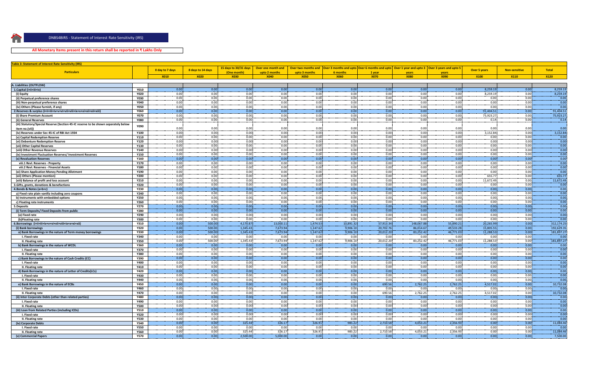

ſ.

### **All Monetary Items present in this return shall be reported in ₹ Lakhs Only**

 $\mathbf{S} = \mathbf{S}$  ,  $\mathbf{S} = \mathbf{S}$  ,  $\mathbf{S} = \mathbf{S}$  ,  $\mathbf{S} = \mathbf{S}$  ,  $\mathbf{S} = \mathbf{S}$  ,  $\mathbf{S} = \mathbf{S}$  ,  $\mathbf{S} = \mathbf{S}$  ,  $\mathbf{S} = \mathbf{S}$  ,  $\mathbf{S} = \mathbf{S}$  ,  $\mathbf{S} = \mathbf{S}$  ,  $\mathbf{S} = \mathbf{S}$  ,  $\mathbf{S} = \mathbf{S}$  ,  $\mathbf{S$ 

| Table 3: Statement of Interest Rate Sensitivity (IRS)                                                 |                     |                 |                   |                       |                    |               |              |                                                                                                                          |              |              |                     |                      |              |
|-------------------------------------------------------------------------------------------------------|---------------------|-----------------|-------------------|-----------------------|--------------------|---------------|--------------|--------------------------------------------------------------------------------------------------------------------------|--------------|--------------|---------------------|----------------------|--------------|
|                                                                                                       |                     | 0 day to 7 days | 8 days to 14 days | 15 days to 30/31 days | Over one month and |               |              | Over two months and   Over 3 months and upto   Over 6 months and upto   Over 1 year and upto 3   Over 3 years and upto 5 |              |              | <b>Over 5 years</b> | <b>Non-sensitive</b> | <b>Total</b> |
| <b>Particulars</b>                                                                                    |                     |                 |                   | (One month)           | upto 2 months      | upto 3 months | 6 months     | 1 year                                                                                                                   | vear:        | vears        |                     |                      |              |
|                                                                                                       |                     | <b>X010</b>     | <b>X020</b>       | <b>X030</b>           | <b>X040</b>        | <b>X050</b>   | <b>X060</b>  | <b>X070</b>                                                                                                              | <b>X080</b>  | <b>X090</b>  | <b>X100</b>         | <b>X110</b>          | <b>X120</b>  |
|                                                                                                       |                     |                 |                   |                       |                    |               |              |                                                                                                                          |              |              |                     |                      |              |
| A. Liabilities (OUTFLOW)                                                                              |                     |                 |                   |                       |                    |               |              |                                                                                                                          |              |              |                     |                      |              |
| 1. Capital (i+ii+iii+iv)                                                                              | <b>Y010</b>         | 0.00            | 0.00              | 0.00                  | 0.00               | 0.00          | 0.00         | 0.00                                                                                                                     | 0.00         | 0.00         | 8,259.19            | 0.00                 | 8,259.19     |
| (i) Equity                                                                                            | <b>Y020</b>         | 0.00            | 0.00              | 0.00                  | 0.00               | 0.00          | 0.00         | 0.00                                                                                                                     | 0.00         | 0.00         | 8,259.19            | 0.00                 | 8,259.19     |
| (ii) Perpetual preference shares                                                                      | <b>Y030</b>         | 0.00            | 0.00              | 0.00                  | 0.00               | 0.00          | 0.00         | 0.00                                                                                                                     | 0.00         | 0.00         | 0.00                | 0.00                 | 0.00         |
| (iii) Non-perpetual preference shares                                                                 | <b>Y040</b>         | 0.00<br>0.00    | 0.00              | 0.00                  | 0.00               | 0.00          | 0.00         | 0.00                                                                                                                     | 0.00         | 0.00         | 0.00                | 0.00                 | 0.00<br>0.00 |
| (iv) Others (Please furnish, if any)                                                                  | <b>Y050</b>         | 0.00            | 0.00<br>0.00      | 0.00<br>0.00          | 0.00<br>0.00       | 0.00<br>0.00  | 0.00<br>0.00 | 0.00<br>0.00                                                                                                             | 0.00<br>0.00 | 0.00<br>0.00 | 0.00<br>91.404.51   | 0.00<br>0.00         | 91,404.51    |
|                                                                                                       | <b>Y060</b>         | 0.00            | 0.00              | 0.00                  | 0.00               | 0.00          |              | 0.00                                                                                                                     | 0.00         | 0.00         |                     | 0.00                 | 75,923.27    |
| (i) Share Premium Account                                                                             | <b>Y070</b>         | 0.00            |                   | 0.00                  |                    | 0.00          | 0.00<br>0.00 |                                                                                                                          |              | 0.00         | 75,923.27           | 0.00                 | 0.14         |
| (ii) General Reserves                                                                                 | <b>Y080</b>         |                 | 0.00              |                       | 0.00               |               |              | 0.00                                                                                                                     | 0.00         |              | 0.14                |                      |              |
| (iii) Statutory/Special Reserve (Section 45-IC reserve to be shown separately below<br>item no.(vii)) | <b>Y090</b>         | 0.00            | 0.00              | 0.00                  | 0.00               | 0.00          | 0.00         | 0.00                                                                                                                     | 0.00         | 0.00         | 0.00                | 0.00                 | 0.00         |
| (iv) Reserves under Sec 45-IC of RBI Act 1934                                                         | Y100                | 0.00            | 0.00              | 0.00                  | 0.00               | 0.00          | 0.00         | 0.00                                                                                                                     | 0.00         | 0.00         | 3,152.84            | 0.00                 | 3,152.84     |
| (v) Capital Redemption Reserve                                                                        | <b>Y110</b>         | 0.00            | 0.00              | 0.00                  | 0.00               | 0.00          | 0.00         | 0.00                                                                                                                     | 0.00         | 0.00         | 0.00                | 0.00                 | 0.00         |
| (vi) Debenture Redemption Reserve                                                                     | Y120                | 0.00            | 0.00              | 0.00                  | 0.00               | 0.00          | 0.00         | 0.00                                                                                                                     | 0.00         | 0.00         | 0.00                | 0.00                 | 0.00         |
| (vii) Other Capital Reserves                                                                          | <b>Y130</b>         | 0.00            | 0.00              | 0.00                  | 0.00               | 0.00          | 0.00         | 0.00                                                                                                                     | 0.00         | 0.00         | 0.00                | 0.00                 | 0.00         |
| (viii) Other Revenue Reserves                                                                         | Y140                | 0.00            | 0.00              | 0.00                  | 0.00               | 0.00          | 0.00         | 0.00                                                                                                                     | 0.00         | 0.00         | 0.00                | 0.00                 | 0.00         |
| (ix) Investment Fluctuation Reserves/ Investment Reserves                                             | Y150                | 0.00            | 0.00              | 0.00                  | 0.00               | 0.00          | 0.00         | 0.00                                                                                                                     | 0.00         | 0.00         | 0.00                | 0.00                 | 0.00         |
| (x) Revaluation Reserves                                                                              | Y160                | 0.00            | 0.00              | 0.00                  | 0.00               | 0.00          | 0.00         | 0.00                                                                                                                     | 0.00         | 0.00         | 0.00                | 0.00                 | 0.00         |
| viii.1 Revl. Reserves - Property                                                                      | <b>Y170</b>         | 0.00            | 0.00              | 0.00                  | 0.00               | 0.00          | 0.00         | 0.00                                                                                                                     | 0.00         | 0.00         | 0.00                | 0.00                 | 0.00         |
| viii.2 Revl. Reserves - Financial Assets                                                              | Y180                | 0.00            | 0.00              | 0.00                  | 0.00               | 0.00          | 0.00         | 0.00                                                                                                                     | 0.00         | 0.00         | 0.00                | 0.00                 | 0.00         |
| (xi) Share Application Money Pending Allotment                                                        | Y190                | 0.00            | 0.00              | 0.00                  | 0.00               | 0.00          | 0.00         | 0.00                                                                                                                     | 0.00         | 0.00         | 0.00                | 0.00                 | 0.00         |
| (xii) Others (Please mention)                                                                         | <b>Y200</b>         | 0.00            | 0.00              | 0.00                  | 0.00               | 0.00          | 0.00         | 0.00                                                                                                                     | 0.00         | 0.00         | 655.7               | 0.00                 | 655.77       |
| (xiii) Balance of profit and loss account                                                             | <b>Y210</b>         | 0.00            | 0.00              | 0.00                  | 0.00               | 0.00          | 0.00         | 0.00                                                                                                                     | 0.00         | 0.00         | 11,672.49           | 0.00                 | 11,672.49    |
| 3. Gifts, grants, donations & benefactions                                                            | <b>Y220</b>         | 0.00            | 0.00              | 0.00                  | 0.00               | 0.00          | 0.00         | 0.00                                                                                                                     | 0.00         | 0.00         | 0.00                | 0.00                 | 0.00         |
| 4.Bonds & Notes (a+b+c)                                                                               | <b>Y230</b>         | 0.00            | 0.00              | 0.00                  | 0.00               | 0.00          | 0.00         | 0.00                                                                                                                     | 0.00         | 0.00         | 0.00                | 0.00                 | 0.00         |
| a) Fixed rate plain vanilla including zero coupons                                                    | <b>Y240</b>         | 0.00            | 0.00              | 0.00                  | 0.00               | 0.00          | 0.00         | 0.00                                                                                                                     | 0.00         | 0.00         | 0.00                | 0.00                 | 0.00         |
| b) Instruments with embedded options                                                                  | <b>Y250</b>         | 0.00            | 0.00              | 0.00                  | 0.00               | 0.00          | 0.00         | 0.00                                                                                                                     | 0.00         | 0.00         | 0.00                | 0.00                 | 0.00         |
| c) Floating rate instruments                                                                          | <b>Y260</b>         | 0.00            | 0.00.             | 0.00                  | 0.00               | 0.00          | 0.00.        | 0.00                                                                                                                     | 0.00         | 0.00         | 0.00                | 0.00                 | 0.00         |
| 5.Deposits                                                                                            | <b>Y270</b>         | 0.00            | 0.00              | 0.00                  | 0.00               | 0.00          | 0.00         | 0.00                                                                                                                     | 0.00         | 0.00         | 0.00                | 0.00                 | 0.00         |
| (i) Term Deposits/ Fixed Deposits from public                                                         | Y280                | 0.00            | 0.00              | 0.00                  | 0.00               | 0.00          | 0.00         | 0.00                                                                                                                     | 0.00         | 0.00         | 0.00                | 0.00                 | 0.00         |
| (a) Fixed rate                                                                                        | <b>Y290</b>         | 0.00            | 0.00              | 0.00                  | 0.00               | 0.00          | 0.00         | 0.00                                                                                                                     | 0.00         | 0.00         | 0.00                | 0.00                 | 0.00         |
| (b)Floating rate                                                                                      | <b>Y300</b>         | 0.00            | 0.00              | 0.00                  | 0.00               | 0.00          | 0.00         | 0.00                                                                                                                     | 0.00         | 0.00         | 0.00                | 0.00                 | 0.00         |
| 5.Borrowings (i+ii+iii+iv+v+vi+vii+viii+ix+x+xi+xii)                                                  | <b>Y310</b>         | 0.00            | 500.00            | 4.170.87              | 13,000.11          | 1.474.53      | 10.891.32    | 57,913.34                                                                                                                | 148.067.88   | 55.890.21    | 20,265.9            | 0.00                 | 312,174.25   |
| (i) Bank borrowings                                                                                   | <b>Y320</b>         | 0.00            | 500.00            | 1,345.43              | 7,673.94           | 1,147.62      | 9,906.10     | 20,702.7                                                                                                                 | 86,014.67    | 49,533.28    | 15,805.5            | 0.00                 | 192,629.3    |
| a) Bank Borrowings in the nature of Term money borrowings                                             | <b>Y330</b>         | 0.00            | 500.00            | 1,345.43              | 7,673.94           | 1,147.62      | 9,906.10     | 20,012.20                                                                                                                | 83,252.42    | 46,771.03    | 11,288.53           | 0.00                 | 181,897.2    |
| I. Fixed rate                                                                                         | <b>Y340</b>         | 0.00            | 0.00              | 0.00                  | 0.00               | 0.00          | 0.00         | 0.00                                                                                                                     | 0.00         | 0.00         | 0.00                | 0.00                 | 0.00         |
| II. Floating rate                                                                                     | <b>Y350</b>         | 0.00            | 500.00            | 1,345.43              | 7,673.94           | 1,147.62      | 9,906.10     | 20,012.20                                                                                                                | 83,252.42    | 46,771.03    | 11,288.53           | 0.00                 | 181,897.27   |
| b) Bank Borrowings in the nature of WCDL                                                              | <b>Y360</b>         | 0.00            | 0.00              | 0.00                  | 0.00               | 0.00          | 0.00         | 0.00                                                                                                                     | 0.00         | 0.00         | 0.00                | 0.00                 | 0.00         |
| I. Fixed rate                                                                                         | <b>Y370</b>         | 0.00            | 0.00              | 0.00                  | 0.00               | 0.00          | 0.00         | 0.00                                                                                                                     | 0.00         | 0.00         | 0.00                | 0.00                 | 0.00         |
| II. Floating rate                                                                                     | Y380                | 0.00            | 0.00              | 0.00                  | 0.00               | 0.00          | 0.00         | 0.00                                                                                                                     | 0.00         | 0.00         | 0.00                | 0.00                 | 0.00         |
| c) Bank Borrowings in the nature of Cash Credits (CC)                                                 | Y390                | 0.00            | 0.00              | 0.00                  | 0.00               | 0.00          | 0.00         | 0.00                                                                                                                     | 0.00         | 0.00         | 0.00                | 0.00                 | 0.00         |
| I. Fixed rate                                                                                         | Y400                | 0.00            | 0.00              | 0.00                  | 0.00               | 0.00          | 0.00         | 0.00                                                                                                                     | 0.00         | 0.00         | 0.00                | 0.00                 | 0.00         |
| II. Floating rate                                                                                     | Y410                | 0.00            | 0.00              | 0.00                  | 0.00               | 0.00          | 0.00         | 0.00                                                                                                                     | 0.00         | 0.00         | 0.00                | 0.00                 | 0.00         |
| d) Bank Borrowings in the nature of Letter of Credits(LCs)                                            | <b>Y420</b>         | 0.00            | 0.00              | 0.00                  | 0.00               | 0.00          | 0.00         | 0.00                                                                                                                     | 0.00         | 0.00         | 0.00                | 0.00                 | 0.00<br>0.00 |
| I. Fixed rate                                                                                         | Y430<br>Y440        | 0.00<br>0.00    | 0.00<br>0.00      | 0.00<br>0.00          | 0.00<br>0.00       | 0.00<br>0.00  | 0.00<br>0.00 | 0.00<br>0.00                                                                                                             | 0.00<br>0.00 | 0.00<br>0.00 | 0.00<br>0.00        | 0.00<br>0.00         | 0.00         |
| II. Floating rate                                                                                     |                     | 0.00            | 0.00              | 0.00                  | 0.00               | 0.00          | 0.00         | 690.56                                                                                                                   | 2,762.25     | 2,762.25     | 4,517.02            | 0.00                 | 10,732.08    |
| e) Bank Borrowings in the nature of ECBs<br>I. Fixed rate                                             | <b>Y450</b><br>Y460 | 0.00            | 0.00              | 0.00                  | 0.00               | 0.00          | 0.00         | 0.00                                                                                                                     | 0.00         | 0.00         | 0.00                | 0.00                 | 0.00         |
| II. Floating rate                                                                                     | <b>Y470</b>         | 0.00            | 0.00              | 0.00                  | 0.00               | 0.00          | 0.00         | 690.56                                                                                                                   | 2,762.25     | 2,762.25     | 4,517.02            | 0.00                 | 10,732.08    |
| (ii) Inter Corporate Debts (other than related parties)                                               | <b>Y480</b>         | 0.00            | 0.00              | 0.00                  | 0.00               | 0.00          | 0.00         | 0.00                                                                                                                     | 0.00         | 0.00         | 0.00                | 0.00                 | 0.00         |
| I. Fixed rate                                                                                         | Y490                | 0.00            | 0.00              | 0.00                  | 0.00               | 0.00          | 0.00         | 0.00                                                                                                                     | 0.00         | 0.00         | 0.001               | 0.00                 | 0.00         |
| II. Floating rate                                                                                     | <b>Y500</b>         | 0.00            | 0.00              | 0.00                  | 0.00               | 0.00          | 0.00         | 0.00                                                                                                                     | 0.00         | 0.00         | 0.00                | 0.00                 | 0.00         |
| (iii) Loan from Related Parties (including ICDs)                                                      | <b>Y510</b>         | 0.00            | 0.00              | 0.00                  | 0.00               | 0.00          | 0.00         | 0.00                                                                                                                     | 0.00         | 0.00         | 0.00                | 0.00                 | 0.00         |
| I. Fixed rate                                                                                         | <b>Y520</b>         | 0.00            | 0.00              | 0.00                  | 0.00               | 0.00          | 0.00         | 0.00                                                                                                                     | 0.00         | 0.00         | 0.00                | 0.00                 | 0.00         |
| II. Floating rate                                                                                     | <b>Y530</b>         | 0.00            | 0.00              | 0.00                  | 0.00               | 0.00          | 0.00         | 0.00                                                                                                                     | 0.00         | 0.00         | 0.00                | 0.00                 | 0.00         |
| (iv) Corporate Debts                                                                                  | <b>Y540</b>         | 0.00            | 0.00              | 325.44                | 326.17             | 326.91        | 985.22       | 2,710.5                                                                                                                  | 4,053.21     | 2,356.93     | 0.00                | 0.00                 | 11,084.46    |
| I. Fixed rate                                                                                         | <b>Y550</b>         | 0.00            | 0.00              | 0.00                  | 0.00               | 0.00          | 0.00         | 0.01                                                                                                                     | 0.00         | 0.00         | 0.00                | 0.00                 | 0.0(         |
| II. Floating rate                                                                                     | Y560                | 0.00            | 0.00              | 325.44                | 326.17             | 326.91        | 985.22       | 2.710.58                                                                                                                 | 4,053.21     | 2,356.93     | 0.00                | 0.00                 | 11,084.4     |
| (v) Commercial Papers                                                                                 | <b>Y570</b>         | 0.00            | 0.00              | 2.500.0               | 5.000.00           | 0.00          | 0.00         | 0.00                                                                                                                     | 0.00         | 0.00         | 0.00                | 0.00                 | 7.500.00     |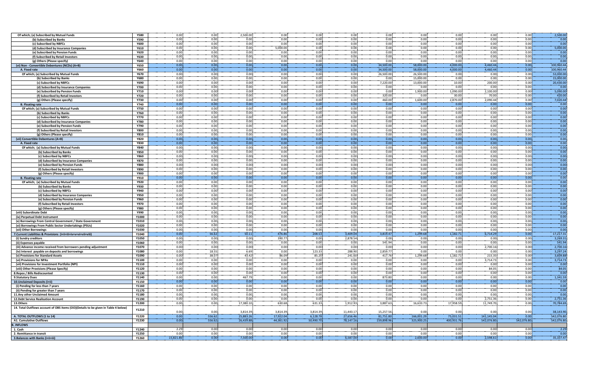| Of which; (a) Subscribed by Mutual Funds                                           | <b>Y580</b> | 0.00      | 0.00   | 2,500.00  | 0.00      | 0.00      | 0.00                | 0.00       | 0.00       | 0.00      | 0.00       | 0.00       | 2,500.00            |
|------------------------------------------------------------------------------------|-------------|-----------|--------|-----------|-----------|-----------|---------------------|------------|------------|-----------|------------|------------|---------------------|
| (b) Subscribed by Banks                                                            | <b>Y590</b> | 0.00      | 0.00   | 0.00      | 0.00      | 0.00      | 0.00                | 0.00       | 0.00       | 0.00      | 0.00       | 0.00       | 0.00                |
|                                                                                    | <b>Y600</b> | 0.00      | 0.00   |           | 0.00      | 0.00      |                     | 0.00       | 0.00       | 0.00      | 0.00       |            | 0.00                |
| (c) Subscribed by NBFCs                                                            |             |           |        | 0.00      |           |           | 0.00                |            |            |           |            | 0.00       |                     |
| (d) Subscribed by Insurance Companies                                              | Y610        | 0.00      | 0.00   | 0.00      | 5,000.00  | 0.00      | 0.00                | 0.00       | 0.00       | 0.00      | 0.00       | 0.00       | 5,000.00            |
| (e) Subscribed by Pension Funds                                                    | <b>Y620</b> | 0.00      | 0.00   | 0.00      | 0.00      | 0.00      | 0.00                | 0.00       | 0.00       | 0.00      | 0.00       | 0.00       | 0.00                |
| (f) Subscribed by Retail Investors                                                 | <b>Y630</b> | 0.00      | 0.00   | 0.00      | 0.00      | 0.00      | 0.00                | 0.00       | 0.00       | 0.00      | 0.00       | 0.00       | 0.00                |
|                                                                                    |             |           | 0.00   | 0.00      |           |           | 0.00                | 0.00       | 0.00       | 0.00      | 0.00       | 0.00       |                     |
| (g) Others (Please specify)                                                        | Y640        | 0.00      |        |           | 0.00      | 0.00      |                     |            |            |           |            |            | 0.00                |
| (vi) Non - Convertible Debentures (NCDs) (A+B)                                     | <b>Y650</b> | 0.00      | 0.00   | 0.00      | 0.00      | 0.00      | 0.00                | 34,500.00  | 58,000.00  | 4,000.00  | 4,460.44   | 0.00       | 100,960.44          |
| A. Fixed rate                                                                      | <b>Y660</b> | 0.00      | 0.00   | 0.00      | 0.00      | 0.00      | 0.00                | 34,500.00  | 58,000.00  | 4,000.00  | 4,460.44   | 0.00       | 100,960.44          |
|                                                                                    | <b>Y670</b> | 0.00      | 0.00   | 0.00      | 0.00      | 0.00      | 0.00                | 26,500.00  | 26.500.00  | 0.00      |            | 0.00       | 53,000.00           |
| Of which; (a) Subscribed by Mutual Funds                                           |             |           |        |           |           |           |                     |            |            |           | 0.00       |            |                     |
| (b) Subscribed by Banks                                                            | <b>Y680</b> | 0.00      | 0.00   | 0.00      | 0.00      | 0.00      | 0.00                | 0.00       | 15,000.00  | 0.00      | 0.00       | 0.00       | 15,000.00           |
| (c) Subscribed by NBFCs                                                            | <b>Y690</b> | 0.00      | 0.00   | 0.00      | 0.00      | 0.00      | 0.00                | 7,220.00   | 13,000.00  | 10.00     | 200.00     | 0.00       | 20,430.00           |
| (d) Subscribed by Insurance Companies                                              | <b>Y700</b> | 0.00      | 0.00   | 0.00      | 0.00      | 0.00      | 0.00                | 0.00       | 0.00       | 0.00      | 0.00       | 0.00       | 0.00                |
|                                                                                    |             |           |        |           |           |           |                     |            |            |           |            |            |                     |
| (e) Subscribed by Pension Funds                                                    | <b>Y710</b> | 0.00      | 0.00   | 0.00      | 0.00      | 0.00      | 0.00                | 0.00       | 1,900.00   | 1,090.00  | 2,100.00   | 0.00       | 5,090.00            |
| (f) Subscribed by Retail Investors                                                 | <b>Y720</b> | 0.00      | 0.00   | 0.00      | 0.00      | 0.00      | 0.00                | 320.00     | 0.00       | 30.00     | 70.00      | 0.00       | 420.00              |
| (g) Others (Please specify)                                                        | <b>Y730</b> | 0.00      | 0.00   | 0.00      | 0.00      | 0.00      | 0.00                | 460.00     | 1,600.00   | 2,870.00  | 2,090.44   | 0.00       | 7,020.44            |
| <b>B.</b> Floating rate                                                            | Y740        | 0.00      | 0.00   | 0.00      | 0.00      | 0.00      | 0.00                | 0.00       | 0.00       | 0.00      | 0.00       | 0.00       | 0.00                |
|                                                                                    |             |           |        |           |           |           |                     |            |            |           |            |            |                     |
| Of which; (a) Subscribed by Mutual Funds                                           | <b>Y750</b> | 0.00      | 0.00   | 0.00      | 0.00      | 0.00      | 0.00                | 0.00       | 0.00       | 0.00      | 0.00       | 0.00       | 0.00                |
| (b) Subscribed by Banks                                                            | Y760        | 0.00      | 0.00   | 0.00      | 0.00      | 0.00      | 0.00                | 0.00       | 0.00       | 0.00      | 0.00       | 0.00       | 0.00                |
| (c) Subscribed by NBFCs                                                            | <b>Y770</b> | 0.00      | 0.00   | 0.00      | 0.00      | 0.00      | 0.00                | 0.00       | 0.00       | 0.00      | 0.00       | 0.00       | 0.00                |
|                                                                                    |             |           |        |           |           |           |                     |            |            |           |            |            |                     |
| (d) Subscribed by Insurance Companies                                              | <b>Y780</b> | 0.00      | 0.00   | 0.00      | 0.00      | 0.00      | 0.00                | 0.00       | 0.00       | 0.00      | 0.00       | 0.00       | 0.00                |
| (e) Subscribed by Pension Funds                                                    | <b>Y790</b> | 0.00      | 0.00   | 0.00      | 0.00      | 0.00      | 0.00                | 0.00       | 0.00       | 0.00      | 0.00       | 0.00       | 0.00                |
| (f) Subscribed by Retail Investors                                                 | <b>Y800</b> | 0.00      | 0.00   | 0.00      | 0.00      | 0.00      | 0.00                | 0.00       | 0.00       | 0.00      | 0.00       | 0.00       | 0.00                |
|                                                                                    |             | 0.00      | 0.00   | 0.00      | 0.00      | 0.00      | 0.00                | 0.00       | 0.00       | 0.00      | 0.00       | 0.00       | 0.00                |
| (g) Others (Please specify)                                                        | <b>Y810</b> |           |        |           |           |           |                     |            |            |           |            |            |                     |
| (vii) Convertible Debentures (A+B)                                                 | <b>Y820</b> | 0.00      | 0.00   | 0.00      | 0.00      | 0.00      | 0.00                | 0.00       | 0.00       | 0.00      | 0.00       | 0.00       | 0.00                |
| A. Fixed rate                                                                      | <b>Y830</b> | 0.00      | 0.00   | 0.00      | 0.00      | 0.00      | 0.00                | 0.00       | 0.00       | 0.00      | 0.00       | 0.00       | 0.00                |
| Of which; (a) Subscribed by Mutual Funds                                           | <b>Y840</b> | 0.00      | 0.00   | 0.00      | 0.00      | 0.00      | 0.00                | 0.00       | 0.00       | 0.00      | 0.00       | 0.00       | 0.00                |
|                                                                                    |             |           |        |           |           |           |                     |            |            |           |            |            | 0.00                |
| (b) Subscribed by Banks                                                            | <b>Y850</b> | 0.00      | 0.00   | 0.00      | 0.00      | 0.00      | 0.00                | 0.00       | 0.00       | 0.00      | 0.00       | 0.00       |                     |
| (c) Subscribed by NBFCs                                                            | <b>Y860</b> | 0.00      | 0.00   | 0.00      | 0.00      | 0.00      | 0.00                | 0.00       | 0.00       | 0.00      | 0.00       | 0.00       | $\frac{0.00}{0.00}$ |
| (d) Subscribed by Insurance Companies                                              | <b>Y870</b> | 0.00      | 0.00   | 0.00      | 0.00      | 0.00      | 0.00                | 0.00       | 0.00       | 0.00      | 0.00       | 0.00       |                     |
|                                                                                    | <b>Y880</b> | 0.00      | 0.00   | 0.00      | 0.00      | 0.00      | 0.00                | 0.00       | 0.00       | 0.00      | 0.00       | 0.00       | 0.00                |
| (e) Subscribed by Pension Funds                                                    |             |           |        |           |           |           |                     |            |            |           |            |            |                     |
| (f) Subscribed by Retail Investors                                                 | <b>Y890</b> | 0.00      | 0.00   | 0.00      | 0.00      | 0.00      | 0.00                | 0.00       | 0.00       | 0.00      | 0.00       | 0.00       | 0.00                |
| (g) Others (Please specify)                                                        | <b>Y900</b> | 0.00      | 0.00   | 0.00      | 0.00      | 0.00      | 0.00                | 0.00       | 0.00       | 0.00      | 0.00       | 0.00       | 0.00                |
| <b>B.</b> Floating rate                                                            | Y910        | 0.00      | 0.00   | 0.00      | 0.00      | 0.00      | 0.00                | 0.00       | 0.00       | 0.00      | 0.00       | 0.00       | 0.00                |
|                                                                                    | <b>Y920</b> | 0.00      | 0.00   | 0.00      | 0.00      | 0.00      | 0.00                | 0.00       | 0.00       | 0.00      | 0.00       | 0.00       | 0.00                |
| Of which; (a) Subscribed by Mutual Funds                                           |             |           |        |           |           |           |                     |            |            |           |            |            |                     |
| (b) Subscribed by Banks                                                            | <b>Y930</b> | 0.00      | 0.00   | 0.00      | 0.00      | 0.00      | 0.00                | 0.00       | 0.00       | 0.00      | 0.00       | 0.00       | 0.00                |
| (c) Subscribed by NBFCs                                                            | Y940        | 0.00      | 0.00   | 0.00      | 0.00      | 0.00      | 0.00                | 0.00       | 0.00       | 0.00      | 0.00       | 0.00       | 0.00                |
| (d) Subscribed by Insurance Companies                                              | <b>Y950</b> | 0.00      | 0.00   | 0.00      | 0.00      | 0.00      | 0.00                | 0.00       | 0.00       | 0.00      | 0.00       | 0.00       | 0.00                |
|                                                                                    |             |           |        |           |           |           |                     |            |            |           |            |            |                     |
| (e) Subscribed by Pension Funds                                                    | <b>Y960</b> | 0.00      | 0.00   | 0.00      | 0.00      | 0.00      | 0.00                | 0.00       | 0.00       | 0.00      | 0.00       | 0.00       | 0.00                |
| (f) Subscribed by Retail Investors                                                 | <b>Y970</b> | 0.00      | 0.00   | 0.00      | 0.00      | 0.00      | 0.00                | 0.00       | 0.00       | 0.00      | 0.00       | 0.00       | 0.00                |
| (g) Others (Please specify)                                                        | <b>Y980</b> | 0.00      | 0.00   | 0.00      | 0.00      | 0.00      | 0.00                | 0.00       | 0.00       | 0.00      | 0.00       | 0.00       | 0.00                |
|                                                                                    |             | 0.00      | 0.00   | 0.00      | 0.00      | 0.00      | 0.00                | 0.00       | 0.00       | 0.00      | 0.00       | 0.00       | 0.00                |
| (viii) Subordinate Debt                                                            | <b>Y990</b> |           |        |           |           |           |                     |            |            |           |            |            |                     |
| (ix) Perpetual Debt Instrument                                                     | Y1000       | 0.00      | 0.00   | 0.00      | 0.00      | 0.00      | 0.00                | 0.00       | 0.00       | 0.00      | 0.00       | 0.00       | 0.00                |
| (x) Borrowings From Central Government / State Government                          | Y1010       | 0.00      | 0.00   | 0.00      | 0.00      | 0.00      | 0.00                | 0.00       | 0.00       | 0.00      | 0.00       | 0.00       | 0.00                |
| (xi) Borrowings From Public Sector Undertakings (PSUs)                             | Y1020       | 0.00      | 0.00   | 0.00      | 0.00      | 0.00      | 0.00                | 0.00       | 0.00       | 0.00      | 0.00       | 0.00       | 0.00                |
|                                                                                    | Y1030       | 0.00      | 0.00   | 0.00      | 0.00      | 0.00      | 0.00                | 0.00       | 0.00       | 0.00      | 0.00       | 0.00       | 0.00                |
| (xii) Other Borrowings                                                             |             |           |        |           |           |           |                     |            |            |           |            |            |                     |
| 7. Current Liabilities & Provisions (i+ii+iii+iv+v+vi+vii+viii)                    | Y1040       | 0.00      | 56.62  | 50.11     | 476.86    | 208.53    | 3,409.04            | 3,819.47   | 1,299.68   | 1,182.71  | 6,714.29   | 0.00       | 17,217.31           |
| (i) Sundry creditors                                                               | Y1050       | 0.00      | 0.00   | 0.00      | 390.77    | 0.00      | 2,878.54            | 0.00       | 0.00       | 0.00      | 0.00       | 0.00       | 3,269.31            |
| (ii) Expenses payable                                                              | Y1060       | 0.00      | 0.00   | 0.00      | 0.00      | 0.00      | 0.00                | 541.94     | 0.00       | 0.00      | 0.00       | 0.00       | 541.94              |
|                                                                                    | Y1070       | 0.00      | 0.00   | 0.00      | 0.00      | 0.00      | 0.00                | 0.00       | 0.00       | 0.00      | 2,700.16   | 0.00       | 2,700.16            |
| (iii) Advance income received from borrowers pending adjustment                    |             |           |        |           |           |           | 288.90              |            |            |           |            |            |                     |
| (iv) Interest payable on deposits and borrowings                                   | Y1080       | 0.00      | 18.55  | 6.69      | 0.00      | 123.33    |                     | 2,859.77   | 0.00       | 0.00      | 0.00       | 0.00       | 3,297.24            |
| (v) Provisions for Standard Assets                                                 | Y1090       | 0.00      | 38.07  | 43.42     | 86.09     | 85.20     | 241.60              | 417.76     | 1,299.68   | 1,182.71  | 215.35     | 0.00       | 3,609.88            |
| (vi) Provisions for NPAs                                                           | Y1100       | 0.00      | 0.00   | 0.00      | 0.00      | 0.00      | 0.00                | 0.00       | 0.00       | 0.00      | 3,714.73   | 0.00       | 3,714.73            |
| (vii) Provisions for Investment Portfolio (NPI)                                    | Y1110       | 0.00      | 0.00   | 0.00      | 0.00      | 0.00      | 0.00                | 0.00       | 0.00       | 0.00      | 0.00       | 0.00       | 0.00                |
|                                                                                    |             |           |        |           |           |           |                     |            |            |           |            |            |                     |
| (viii) Other Provisions (Please Specify)                                           | Y1120       | 0.00      | 0.00   | 0.00      | 0.00      | 0.00      | $\frac{0.00}{0.00}$ | 0.00       | 0.00       | 0.00      | 84.05      | 0.00       | 84.05               |
| 8. Repos / Bills Rediscounted                                                      | Y1130       | 0.00      | 0.00   | 0.00      | 0.00      | 0.00      |                     | 0.00       | 0.00       | 0.00      | 0.00       | 0.00       | 0.00                |
| <b>9.Statutory Dues</b>                                                            | Y1140       | 0.00      | 0.00   | 467.79    | 0.00      | 0.00      | 0.00                | 873.80     | 0.00       | 0.00      | 0.00       | 0.00       | 1,341.59            |
| 10. Unclaimed Deposits (i+ii)                                                      | Y1150       | 0.00      | 0.00   | 0.00      | 0.00      | 0.00      | 0.00                | 0.00       | 0.00       | 0.00      | 0.00       | 0.00       | 0.00                |
|                                                                                    |             |           |        |           |           |           |                     |            |            |           |            |            |                     |
| (i) Pending for less than 7 years                                                  | Y1160       | 0.00      | 0.00   | 0.00      | 0.00      | 0.00      | 0.00                | 0.00       | 0.00       | 0.00      | 0.00       | 0.00       | 0.00                |
| (ii) Pending for greater than 7 years                                              | Y1170       | 0.00      | 0.00   | 0.00      | 0.00      | 0.00      | 0.00                | 0.00       | 0.00       | 0.00      | 0.00       | 0.00       | 0.00                |
| 11.Any other Unclaimed Amount                                                      | Y1180       | 0.00      | 0.00   | 0.00      | 0.00      | 0.00      | 0.00                | 0.00       | 0.00       | 0.00      | 0.00       | 0.00       | 0.00                |
|                                                                                    | Y1190       | 0.00      | 0.00   | 0.00      | 0.00      | 0.00      | 0.00                | 0.00       | 0.00       | 0.0       | 2,751.36   | 0.00       | 2,751.36            |
| 12. Debt Service Realisation Account                                               |             |           |        |           |           |           |                     |            |            |           |            |            |                     |
| 13.Others                                                                          | Y1200       | 0.00      | 0.00   | 17,380.10 | 630.68    | 631.33    | 1,912.93            | 3,887.63   | 16,633.73  | 17,958.59 | 11,749.70  | 0.00       | 70,784.69           |
| 14. Total Outflows account of OBS items (OO)(Details to be given in Table 4 below) |             |           |        |           |           |           |                     |            |            |           |            |            |                     |
|                                                                                    | Y1210       | 0.00      | 0.00   | 3,814.39  | 3,814.39  | 3,814.39  | 11,443.17           | 15,257.56  | 0.00       | 0.00      | 0.00       | 0.00       | 38,143.90           |
| A. TOTAL OUTFLOWS (1 to 14)                                                        | Y1220       | 0.00      | 556.62 | 25,883.26 | 17,922.04 | 6,128.78  | 27,656.46           | 81,751.80  | 166,001.29 | 75,031.51 | 141,145.04 | 0.00       | 542,076.80          |
|                                                                                    |             |           |        |           |           |           |                     |            |            |           |            |            |                     |
| <b>A1. Cumulative Outflows</b>                                                     | Y1230       | 0.00      | 556.62 | 26,439.88 | 44,361.92 | 50,490.70 | 78,147.16           | 159,898.96 | 325,900.25 | 400,931.7 | 542,076.80 | 542,076.80 | 542,076.80          |
| <b>B. INFLOWS</b>                                                                  |             |           |        |           |           |           |                     |            |            |           |            |            |                     |
| 1. Cash                                                                            | Y1240       | 2.29      | 0.00   | 0.00      | 0.00      | 0.00      | 0.00                | 0.00       | 0.00       | 0.00      | 0.00       | 0.00       | 2.29                |
|                                                                                    |             |           |        |           |           |           |                     |            |            |           |            |            |                     |
| 2. Remittance in transit                                                           | Y1250       | 0.00      | 0.00   | 0.00      | 0.00      | 0.00      | 0.00                | 0.00       | 0.00       | 0.00      | 0.00       | 0.00       | 0.00                |
| 3. Balances with Banks (i+ii+iii)                                                  | Y1260       | 15.821.86 | 0.00   | 7.500.00  | 0.00      | 0.00      | 6.587.00            | 0.00       | 2.600.00   | 0.00      | 2.598.61   | 0.00       | 35,107.47           |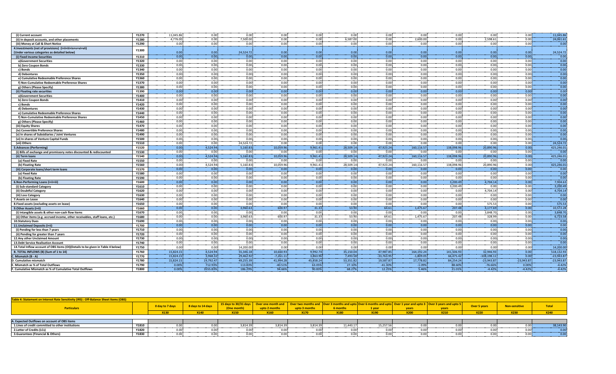| (i) Current account                                                               | Y1270 | 11,045.86 | 0.00      | 0.00      | 0.001       | 0.00      | 0.00         | 0.00         | 0.00        | 0.00      | 0.00          | 0.00         | 11.045.86    |
|-----------------------------------------------------------------------------------|-------|-----------|-----------|-----------|-------------|-----------|--------------|--------------|-------------|-----------|---------------|--------------|--------------|
| (ii) In deposit accounts, and other placements                                    | Y1280 | 4,776.00  | 0.00      | 7,500.00  | 0.00        | 0.00      | 6,587.00     | 0.00         | 2,600.00    | 0.00      | 2,598.61      | 0.00         | 24,061.61    |
| (iii) Money at Call & Short Notice                                                | Y1290 | 0.00      | 0.00      | 0.00      | 0.00        | 0.00      | 0.00         | 0.00         | 0.00        | 0.00      | 0.00          | 0.00         | 0.00         |
| 4. Investments (net of provisions) (i+ii+iii+iv+v+vi+vii)                         |       |           |           |           |             |           |              |              |             |           |               |              |              |
| (Under various categories as detailed below)                                      | Y1300 | 0.00      | 0.00      | 24,524.72 | 0.00        | 0.00      | 0.00         | 0.00         | 0.00        | 0.00      | 0.00          | 0.00         | 24,524.72    |
| (i) Fixed Income Securities                                                       | Y1310 | 0.00      | 0.00      | 0.00      | 0.00        | 0.00      | 0.00         | 0.00         | 0.00        | 0.00      | 0.00          | 0.00         | 0.00         |
| a)Government Securities                                                           | Y1320 | 0.00      | 0.00      | 0.00      | 0.00        | 0.00      | 0.00         | 0.00         | 0.00        | 0.00      | 0.00          | 0.00         | 0.00         |
| b) Zero Coupon Bonds                                                              | Y1330 | 0.00      | 0.00      | 0.00      | 0.00        | 0.00      | 0.00         | 0.00         | 0.00        | 0.00      | 0.00          | 0.00         | 0.00         |
| c) Bonds                                                                          | Y1340 | 0.00      | 0.00      | 0.00      | 0.00        | 0.00      | 0.00         | 0.00         | 0.00        | 0.00      | 0.00          | 0.00         | 0.00         |
| d) Debentures                                                                     | Y1350 | 0.00      | 0.00      | 0.00      | 0.00        | 0.00      | 0.00         | 0.00         | 0.00        | 0.00      | 0.00          | 0.00         | 0.00         |
| e) Cumulative Redeemable Preference Shares                                        | Y1360 | 0.00      | 0.00      | 0.00      | 0.00        | 0.00      | 0.00         | 0.00         | 0.00        | 0.00      | 0.00          | 0.00         | 0.00         |
| f) Non-Cumulative Redeemable Preference Shares                                    | Y1370 | 0.00      | 0.00      | 0.00      | 0.00        | 0.00      | 0.00         | 0.00         | 0.00        | 0.00      | 0.00          | 0.00         | 0.00         |
| g) Others (Please Specify)                                                        | Y1380 | 0.00      | 0.00      | 0.00      | 0.00        | 0.00      | 0.00         | 0.00         | 0.00        | 0.00      | 0.00          | 0.00         | 0.00         |
| (ii) Floating rate securities                                                     | Y1390 | 0.00      | 0.00      | 0.00      | 0.00        | 0.00      | 0.00         | 0.00         | 0.00        | 0.00      | 0.00          | 0.00         | 0.00         |
| a)Government Securities                                                           | Y1400 | 0.00      | 0.00      | 0.00      | 0.00        | 0.00      | 0.00         | 0.00         | 0.00        | 0.00      | 0.00          | 0.00         | 0.00         |
| b) Zero Coupon Bonds                                                              | Y1410 | 0.00      | 0.00      | 0.00      | 0.00        | 0.00      | 0.00         | 0.00         | 0.00        | 0.00      | 0.00          | 0.00         | 0.00         |
| c) Bonds                                                                          | Y1420 | 0.00      | 0.00      | 0.00      | 0.001       | 0.00      | 0.00         | 0.00         | 0.00        | 0.00      | 0.00          | 0.00         | 0.00         |
| d) Debentures                                                                     | Y1430 | 0.00      | 0.00      | 0.00      | 0.00        | 0.00      | 0.00         | 0.00         | 0.00        | 0.00      | 0.00          | 0.00         | 0.00         |
| e) Cumulative Redeemable Preference Shares                                        | Y1440 | 0.00      | 0.00      | 0.00      | 0.00        | 0.00      | 0.00         | 0.00         | 0.00        | 0.00      | 0.00          | 0.00         | 0.00         |
| f) Non-Cumulative Redeemable Preference Shares                                    | Y1450 | 0.00      | 0.00      | 0.00      | 0.00        | 0.00      | 0.00         | 0.00         | 0.00        | 0.00      | 0.00          | 0.00         | 0.00         |
| g) Others (Please Specify)                                                        | Y1460 | 0.00      | 0.00      | 0.00      | 0.00        | 0.00      | 0.00         | 0.00         | 0.00        | 0.00      | 0.00          | 0.00         | 0.00         |
| (iii) Equity Shares                                                               | Y1470 | 0.00      | 0.00      | 0.00      | 0.00        | 0.00      | 0.00         | 0.00         | 0.00        | 0.00      | 0.00          | 0.00         | 0.00         |
| (iv) Convertible Preference Shares                                                | Y1480 | 0.00      | 0.00      | 0.00      | 0.001       | 0.00      | 0.00         | 0.00         | 0.00        | 0.00      | 0.00          | 0.00         | 0.00         |
| (v) In shares of Subsidiaries / Joint Ventures                                    | Y1490 | 0.00      | 0.00      | 0.00      | 0.00        | 0.00      | 0.00         | 0.00         | 0.00        | 0.00      | 0.00          | 0.00         | 0.00         |
| (vi) In shares of Venture Capital Funds                                           | Y1500 | 0.00      | 0.00      | 0.00      | 0.00        | 0.00      | 0.00         | 0.00         | 0.00        | 0.00      | 0.00          | 0.00         | 0.00         |
| (vii) Others                                                                      | Y1510 | 0.00      | 0.00      | 24,524.72 | 0.00        | 0.00      | 0.00         | 0.00         | 0.00        | 0.00      | 0.00          | 0.00         | 24.524.72    |
| <b>5.Advances (Performing)</b>                                                    | Y1520 | 0.00      | 4,524.94  | 5,160.83  | 10,059.96   | 9,961.41  | 28,509.14    | 47,923.24    | 160,116.57  | 138,098.9 | 20,890.96     | 0.00         | 425,246.01   |
| (i) Bills of exchange and promissory notes discounted & rediscounted              | Y1530 | 0.00      | 0.00      | 0.00      | 0.00        | 0.00      | 0.00         | 0.00         | 0.00        | 0.00      | 0.00          | 0.00         | 0.00         |
| (ii) Term loans                                                                   | Y1540 | 0.00      | 4,524.94  | 5,160.83  | 10,059.96   | 9.961.41  | 28,509.14    | 47,923.24    | 160,116.57  | 138.098.9 | 20,890.96     | 0.00         | 425,246.01   |
| (a) Fixed Rate                                                                    | Y1550 | 0.00      | 0.00      | 0.00      | 0.00        | 0.00      | 0.00         | 0.00         | 0.00        | 0.0       | 0.00          | 0.00         | 0.00         |
| (b) Floating Rate                                                                 | Y1560 | 0.00      | 4,524.94  | 5,160.83  | 10,059.96   | 9,961.41  | 28,509.14    | 47,923.24    | 160,116.57  | 138,098.9 | 20,890.96     | 0.00         | 425,246.01   |
| (iii) Corporate loans/short term loans                                            | Y1570 | 0.00      | 0.00      | 0.00      | 0.00        | 0.00      | 0.00         | 0.00         | 0.00        | 0.00      | 0.00          | 0.00         | 0.00         |
| (a) Fixed Rate                                                                    | Y1580 | 0.00      | 0.00      | 0.00      | 0.00        | 0.00      | 0.00         | 0.00         | 0.00        | 0.00      | 0.00          | 0.00         | 0.00         |
| (b) Floating Rate                                                                 | Y1590 | 0.00      | 0.00      | 0.00      | 0.00        | 0.00      | 0.00         | 0.00         | 0.00        | 0.00      | 0.00          | 0.00         | 0.00         |
| 6.Non-Performing Loans (i+ii+iii)                                                 | Y1600 | 0.00      | 0.00      | 0.00      | 0.00        | 0.00      | 0.00         | 0.00         | 0.00        | 3.200.49  | 4,704.14      | 0.00         | 7.904.63     |
| (i) Sub-standard Categor                                                          | Y1610 | 0.00      | 0.00      | 0.00      | 0.00        | 0.00      | 0.00         | 0.00         | 0.00        | 3,200.49  | 0.00          | 0.00         | 3,200.49     |
| (ii) Doubtful Category                                                            | Y1620 | 0.00      | 0.00      | 0.00      | 0.00        | 0.00      | 0.00         | 0.00         | 0.00        | 0.00      | 4,704.14      | 0.00         | 4,704.14     |
| (iii) Loss Category                                                               | Y1630 | 0.00      | 0.00      | 0.00      | 0.00        | 0.00      | 0.00         | 0.00         | 0.00        | 0.00      | 0.00          | 0.00         | 0.00         |
| 7.Assets on Lease                                                                 | Y1640 | 0.00      | 0.00      | 0.00      | 0.00        | 0.00      | 0.00         | 0.00         | 0.00        | 0.00      | 0.00          | 0.00         | 0.00         |
| 8. Fixed assets (excluding assets on lease)                                       | Y1650 | 0.00      | 0.00      | 0.00      | 0.00        | 0.00      | 0.00         | 0.00         | 0.00        | 0.00      | 575.53        | 0.00         | 575.53       |
| 9. Other Assets (i+ii)                                                            | Y1660 | 0.00      | 0.00      | 3,960.63  | 600.97      | 31.33     | 53.90        | 64.61        | 1,475.67    | 207.48    | 4,177.69      | 0.00         | 10,572.28    |
| (i) Intangible assets & other non-cash flow items                                 | Y1670 | 0.00      | 0.00      | 0.00      | 0.00        | 0.00      | 0.00         | 0.00         | 0.00        | 0.00      | 3,848.70      | 0.00         | 3,848.70     |
| (ii) Other items (e.g. accrued income, other receivables, staff loans, etc.)      | Y1680 | 0.00      | 0.00      | 3.960.63  | 600.97      | 31.33     | 53.90        | 64.61        | 1.475.67    | 207.48    | 328.99        | 0.00         | 6,723.58     |
| <b>10.Statutory Dues</b>                                                          | Y1690 | 0.00      | 0.00      | 0.00      | 0.00        | 0.00      | 0.00         | 0.00         | 0.00        | 0.00      | 0.00          | 0.00         | 0.00         |
| 11. Unclaimed Deposits (i+ii)                                                     | Y1700 | 0.00      | 0.00      | 0.00      | 0.00        | 0.00      | 0.00         | 0.00         | 0.00        | 0.00      | 0.00          | 0.00         | 0.00         |
| (i) Pending for less than 7 years                                                 | Y1710 | 0.00      | 0.00      | 0.00      | 0.00        | 0.00      | 0.00         | 0.00         | 0.00        | 0.00      | 0.00          | 0.00         | 0.00         |
| (ii) Pending for greater than 7 years                                             | Y1720 | 0.00      | 0.00      | 0.00      | 0.00        | 0.00      | 0.00<br>0.00 | 0.00         | 0.00        | 0.00      | 0.00          | 0.00         | 0.00         |
| 12.Anv other Unclaimed Amount                                                     | Y1730 | 0.00      | 0.00      | 0.00      | 0.00        | 0.00      |              | 0.00         | 0.00        | 0.00      | 0.00          | 0.00         | 0.00         |
| 13. Debt Service Realisation Account                                              | Y1740 | 0.00      | 0.00      | 0.00      | 0.00        | 0.00      | 0.00         | 0.00         | 0.00        | 0.00      | 0.00          | 0.00         | 0.00         |
| 14. Total Inflow account of OBS items (OI) (Details to be given in Table 4 below) | Y1750 | 0.00      | 0.00      | 14,200.00 | 0.00        | 0.00      | 0.00         | 0.00         | 0.00        | 0.00      | 0.00          | 0.00         | 14,200.00    |
| B. TOTAL INFLOWS (B) (Sum of 1 to 14)                                             | Y1760 | 15.824.1  | 4.524.94  | 55.346.18 | 10.660.93   | 9.992.74  | 35.150.04    | 47.987.85    | 164.192.24  | 141.506.9 | 32.946.93     | 0.00         | 518.132.93   |
| C. Mismatch (B - A)                                                               | Y1770 | 15,824.1  | 3,968.32  | 29,462.92 | $-7,261.11$ | 3.863.96  | 7,493.58     | $-33,763.95$ | $-1.809.05$ | 66,475.4  | $-108,198.11$ | 0.00         | $-23,943.87$ |
| D. Cumulative mismatch                                                            | Y1780 | 15,824.15 | 19,792.47 | 49,255.39 | 41,994.28   | 45,858.24 | 53,351.82    | 19,587.87    | 17,778.82   | 84,254.2  | $-23,943.87$  | $-23,943.87$ | $-23,943.87$ |
| <b>Mismatch as % of Total Outflows</b>                                            | Y1790 | 0.00%     | 712.939   | 113.83%   | $-40.51%$   | 63.05%    | 27.109       | $-41.30%$    | $-1.09%$    | 88.609    | $-76.66%$     | 0.00%        | $-4.42%$     |
| F. Cumulative Mismatch as % of Cumulative Total Outflows                          | Y1800 | 0.00%     | 3555.83%  | 186.29%   | 94.66%      | 90.83%    | 68.279       | 12.25%       | 5.46%       | 21.019    | $-4.42%$      | $-4.42%$     | $-4.42%$     |

| Table 4: Statement on Interest Rate Sensitivity (IRS) : Off-Balance Sheet Items (OBS) |              |                         |                   |                       |               |               |                 |           |             |                                  |                     |               |             |
|---------------------------------------------------------------------------------------|--------------|-------------------------|-------------------|-----------------------|---------------|---------------|-----------------|-----------|-------------|----------------------------------|---------------------|---------------|-------------|
|                                                                                       |              |                         | 8 days to 14 days | 15 days to 30/31 days |               |               |                 |           |             | <b>3</b> Over 3 years and upto 5 | <b>Over 5 years</b> | Non-sensitive | Total       |
| <b>Particulars</b>                                                                    |              | day to 7 days           |                   | (One month)           | upto 2 months | upto 3 months | <b>6 months</b> |           | vears       | vears                            |                     |               |             |
|                                                                                       |              | 322.00 M<br><b>VT20</b> | <b>X140</b>       | <b>X150</b>           | <b>X160</b>   | <b>X170</b>   | <b>X180</b>     |           | <b>X200</b> | <b>X210</b>                      | <b>X220</b>         | <b>X230</b>   | <b>X240</b> |
|                                                                                       |              |                         |                   |                       |               |               |                 |           |             |                                  |                     |               |             |
| A. Expected Outflows on account of OBS items                                          |              |                         |                   |                       |               |               |                 |           |             |                                  |                     |               |             |
| 1. Lines of credit committed to other institutions                                    | Y1810        |                         |                   | 3.814.39              | 3.814.3       | 814           | 11.443.1        | 15.257.56 |             |                                  |                     |               | 38.143.90   |
| 2. Letter of Credits (LCs)                                                            | <b>Y1820</b> |                         |                   | nn.                   |               |               |                 |           |             |                                  |                     |               |             |
| 3. Guarantees (Financial & Others)                                                    | Y1830        |                         |                   | 0.00.                 |               |               |                 |           |             |                                  |                     | 0.00          |             |